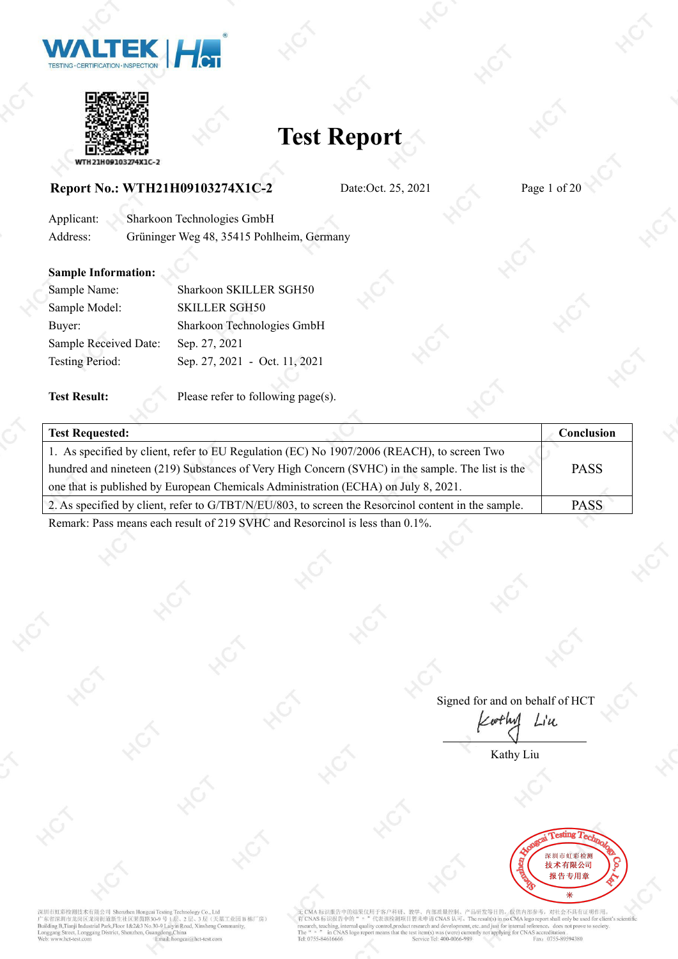



### **Report No.: WTH21H09103274X1C-2** Date:Oct. 25, 2021 Page 1 of 20

| Applicant: | Sharkoon Technologies GmbH                |  |
|------------|-------------------------------------------|--|
| Address:   | Grüninger Weg 48, 35415 Pohlheim, Germany |  |

### **Sample Information:**

| Sample Name:           | Sharkoon SKILLER SGH50        |  |
|------------------------|-------------------------------|--|
| Sample Model:          | <b>SKILLER SGH50</b>          |  |
| Buver:                 | Sharkoon Technologies GmbH    |  |
| Sample Received Date:  | Sep. 27, 2021                 |  |
| <b>Testing Period:</b> | Sep. 27, 2021 - Oct. 11, 2021 |  |
|                        |                               |  |

**Test Result:** Please refer to following page(s).

| <b>Test Requested:</b>                                                                                                                                                                                                                                                                                                                     | Conclusion  |
|--------------------------------------------------------------------------------------------------------------------------------------------------------------------------------------------------------------------------------------------------------------------------------------------------------------------------------------------|-------------|
| 1. As specified by client, refer to EU Regulation (EC) No 1907/2006 (REACH), to screen Two                                                                                                                                                                                                                                                 |             |
| hundred and nineteen (219) Substances of Very High Concern (SVHC) in the sample. The list is the                                                                                                                                                                                                                                           | <b>PASS</b> |
| one that is published by European Chemicals Administration (ECHA) on July 8, 2021.                                                                                                                                                                                                                                                         |             |
| 2. As specified by client, refer to G/TBT/N/EU/803, to screen the Resorcinol content in the sample.                                                                                                                                                                                                                                        | <b>PASS</b> |
| $\frac{1}{2}$ $\frac{1}{2}$ $\frac{1}{2}$ $\frac{1}{2}$ $\frac{1}{2}$ $\frac{1}{2}$ $\frac{1}{2}$ $\frac{1}{2}$ $\frac{1}{2}$ $\frac{1}{2}$ $\frac{1}{2}$ $\frac{1}{2}$ $\frac{1}{2}$ $\frac{1}{2}$ $\frac{1}{2}$ $\frac{1}{2}$ $\frac{1}{2}$ $\frac{1}{2}$ $\frac{1}{2}$ $\frac{1}{2}$ $\frac{1}{2}$ $\frac{1}{2}$<br>$n \cdot 1 \cdot n$ |             |

Remark: Pass means each result of 219 SVHC and Resorcinol is less than 0.1%.

Signed for and on behalf of HCT  $Li$ u wflw

Kathy Liu



深圳市虹彩检测技术有限公司 Shenzhen Hongcai Tes 列車 RLM包 RS 本日 RC2 STATE READ STATE READ TO READ TO READ TO REAL READ TO READ TO READ TO READ TO REA<br>抗衛深期市方向 K RS AT TO READ TO READ TO READ TO P TO READ READ TO READ TO READ TO READ TO READ TO READ TO READ TO R<br>Inggang S cta<br>天基工业园 B 栋厂房) .<br>ai@hct-test.com

H于客户科研、教学、内部质量控制、产品研发等目的、仅供内部参考,对社会不具有证明作用。<br>代表该检测项目暂未申请CNAS 认可。The result(s) in no CMA logo report shall only be used for client's scientific<br>g control,product research and development, etc..and just for internal referen 无 CMA 标识报告中的结果仅用于客户科研 了CNAS 标识报告中的 irch, teaching, in .<br>al quality The  $\frac{4}{n}$   $\frac{n}{n}$  in CNA<br>Tel: 0755-84616666 **JASI** vice Tel: 400-0066-989 Saccionation.<br>Fax: 0755-89594380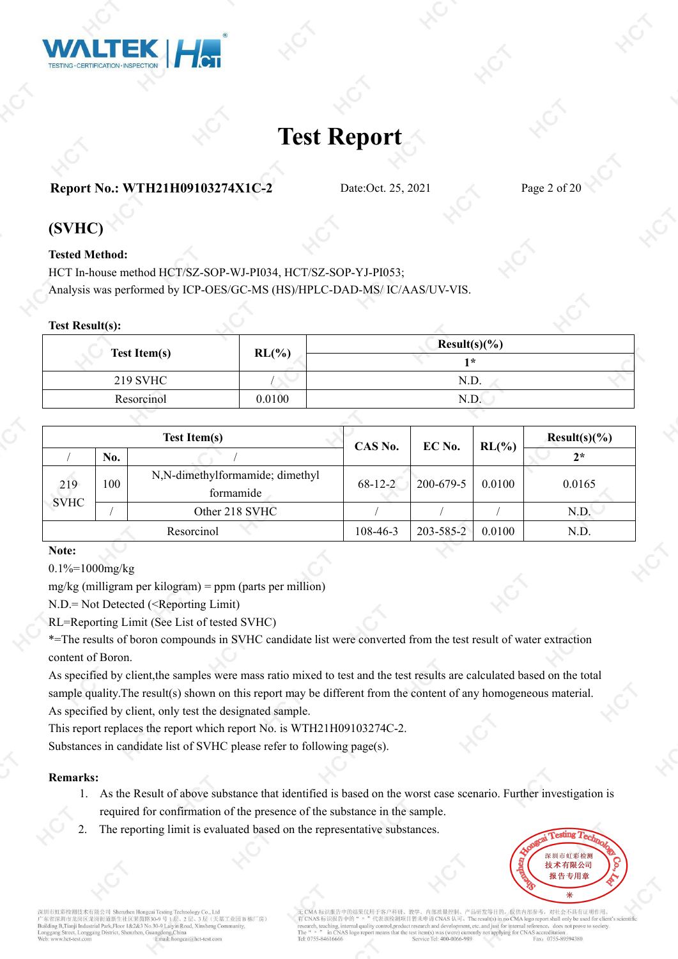

### **Report No.: WTH21H09103274X1C-2** Date:Oct. 25, 2021 Page 2 of 20

### **(SVHC)**

#### **Tested Method:**

HCT In-house method HCT/SZ-SOP-WJ-PI034, HCT/SZ-SOP-YJ-PI053; Analysis was performed by ICP-OES/GC-MS (HS)/HPLC-DAD-MS/ IC/AAS/UV-VIS.

#### **Test Result(s):**

|                     |          | $Result(s)(\%)$ |  |
|---------------------|----------|-----------------|--|
| <b>Test Item(s)</b> | $RL(\%)$ | ∗               |  |
| <b>219 SVHC</b>     |          | N.D.            |  |
| Resorcinol          | 0.0100   | N.D.            |  |
|                     |          |                 |  |

|             |     | <b>Test Item(s)</b>                          | CAS No.   | EC No.    | $RL(\%)$ | $Result(s)(\%)$ |
|-------------|-----|----------------------------------------------|-----------|-----------|----------|-----------------|
|             | No. |                                              |           |           |          | $2*$            |
| 219         | 100 | N,N-dimethylformamide; dimethyl<br>formamide | $68-12-2$ | 200-679-5 | 0.0100   | 0.0165          |
| <b>SVHC</b> |     | Other 218 SVHC                               |           |           |          | N.D.            |
|             |     | Resorcinol                                   | 108-46-3  | 203-585-2 | 0.0100   | N.D.            |

#### **Note:**

#### 0.1%=1000mg/kg

mg/kg (milligram per kilogram) = ppm (parts per million)

N.D.= Not Detected (<Reporting Limit)

RL=Reporting Limit (See List of tested SVHC)

\*=The results of boron compounds in SVHC candidate list were converted from the test result of water extraction content of Boron.

As specified by client,the samples were mass ratio mixed to test and the test results are calculated based on the total sample quality.The result(s) shown on this report may be different from the content of any homogeneous material. As specified by client, only test the designated sample.

This report replaces the report which report No. is WTH21H09103274C-2.

Substances in candidate list of SVHC please refer to following page(s).

#### **Remarks:**

- 1. As the Result of above substance that identified is based on the worst case scenario. Further investigation is required for confirmation of the presence of the substance in the sample.
- The reporting limit is evaluated based on the representative substances.



市虹彩检测技术有限公司 Shenzhen Hongo 去基工业园B栋厂房) 省深圳市龙岗区龙岗街道新生社区莱茵路30-9号 B.Tianii Industrial Park.Floor 1&2&3 No.30-9 Laivin Ro i@het\_teet.com

客户科研、教学、内部质量控制、产品研发等目的, 仅供内部参考, 对社会不具有证明作用。<br>表该检测项目暂未申请CNAS 认可。The result(s) in no CMA logo report shall only be used for client's scientific earch and development, etc..and just for internal reference, does not prove to society. achino Tel: 0755-8461666 Fax: 0755-89594380  $T_2I_2 400.006$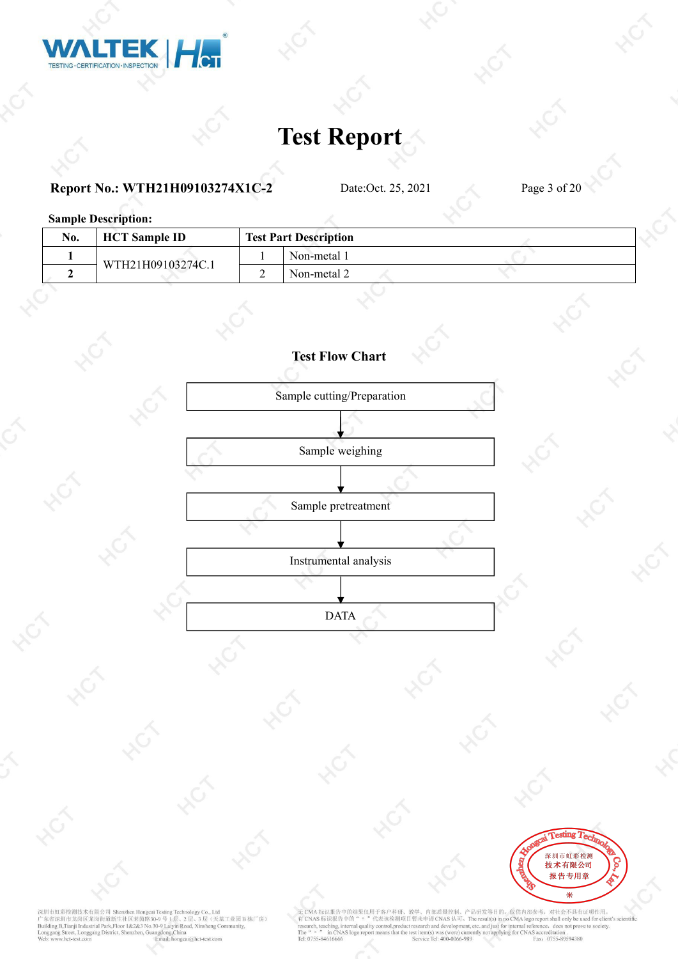

### **Report No.: WTH21H09103274X1C-2** Date:Oct. 25, 2021 Page 3 of 20

**Sample Description:**

| No. | <b>HCT</b> Sample <b>ID</b> | <b>Test Part Description</b> |  |  |
|-----|-----------------------------|------------------------------|--|--|
|     |                             | Non-metal 1                  |  |  |
|     | WTH21H09103274C.1           | Non-metal 2                  |  |  |
|     |                             |                              |  |  |





深圳市虹彩检测技术有限公司 Shenzhen Hongcai Testing Technology Co., Ltd<br>广东省深圳市龙岗区龙岗街道新生社区莱茵路30-9 号 1层、2 层、3 层 (天基工业园 B 栋厂房)<br>Building B.Tranji Industrial Park,Floor 1&2&3 No.30-9 Laiyin Road, Xinsheng Community,<br>Longgang Street, Longg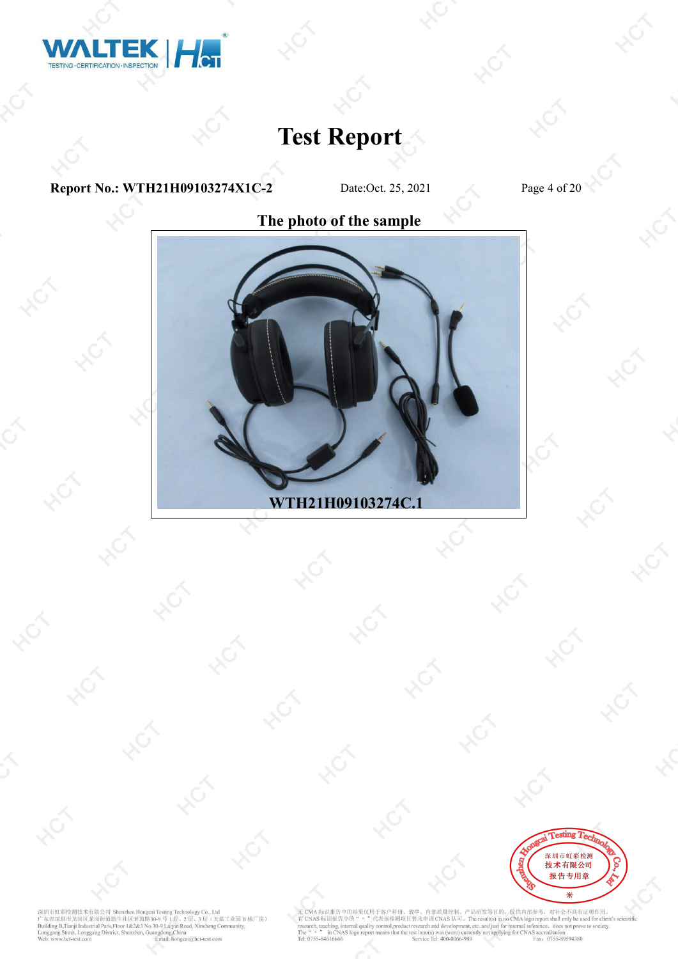

**Report No.: WTH21H09103274X1C-2** Date:Oct. 25, 2021 Page 4 of 20

**The photo of the sample**



![](_page_3_Picture_7.jpeg)

深圳市虹彩检测技术有限公司 Shenzhen Hongeai Testing Technology Co., Ltd<br>广东省深圳市龙岗区龙岗街道新生社区莱茵路30-9号 1层、2层、3层(天基工业园 B 栋厂房)<br>Building B.Tranji Industrial Park,Floor 1&2&3 No.30-9号 1层、2层、3层(天基工业园 B 栋厂房)<br>Bunggang Street, Longgang District, S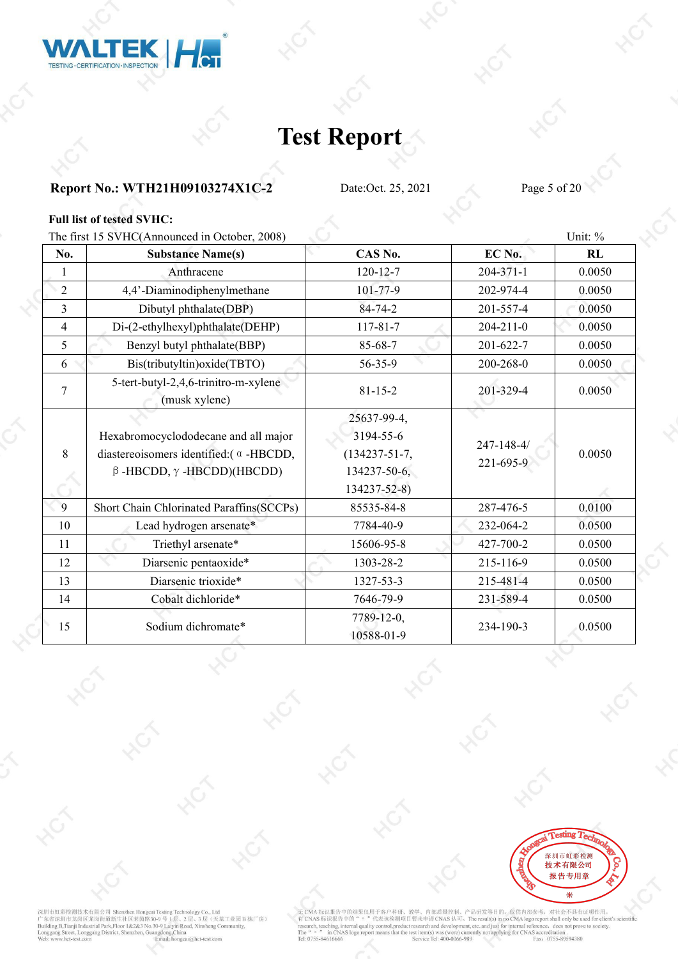![](_page_4_Picture_0.jpeg)

### **Report No.: WTH21H09103274X1C-2** Date:Oct. 25, 2021 Page 5 of 20

#### **Full list of tested SVHC:**

The first 15 SVHC(Announced in October, 2008) Unit:  $\%$ 

|                                                                                                                                      |                                                                                        |                         | UIIIL. 70 |
|--------------------------------------------------------------------------------------------------------------------------------------|----------------------------------------------------------------------------------------|-------------------------|-----------|
| <b>Substance Name(s)</b>                                                                                                             | CAS No.                                                                                | EC No.                  | RL        |
| Anthracene                                                                                                                           | $120 - 12 - 7$                                                                         | $204 - 371 - 1$         | 0.0050    |
| 4,4'-Diaminodiphenylmethane                                                                                                          | $101 - 77 - 9$                                                                         | 202-974-4               | 0.0050    |
| Dibutyl phthalate(DBP)                                                                                                               | $84 - 74 - 2$                                                                          | 201-557-4               | 0.0050    |
| Di-(2-ethylhexyl)phthalate(DEHP)                                                                                                     | $117 - 81 - 7$                                                                         | $204 - 211 - 0$         | 0.0050    |
| Benzyl butyl phthalate(BBP)                                                                                                          | 85-68-7                                                                                | 201-622-7               | 0.0050    |
| Bis(tributyltin) oxide(TBTO)                                                                                                         | 56-35-9                                                                                | 200-268-0               | 0.0050    |
| 5-tert-butyl-2,4,6-trinitro-m-xylene<br>(musk xylene)                                                                                | $81 - 15 - 2$                                                                          | 201-329-4               | 0.0050    |
| Hexabromocyclododecane and all major<br>diastereoisomers identified: $(\alpha - HBCDD)$ ,<br>$\beta$ -HBCDD, $\gamma$ -HBCDD)(HBCDD) | 25637-99-4,<br>3194-55-6<br>$(134237 - 51 - 7,$<br>$134237 - 50 - 6$ ,<br>134237-52-8) | 247-148-4/<br>221-695-9 | 0.0050    |
| Short Chain Chlorinated Paraffins (SCCPs)                                                                                            | 85535-84-8                                                                             | 287-476-5               | 0.0100    |
| Lead hydrogen arsenate*                                                                                                              | 7784-40-9                                                                              | 232-064-2               | 0.0500    |
| Triethyl arsenate*                                                                                                                   | 15606-95-8                                                                             | 427-700-2               | 0.0500    |
| Diarsenic pentaoxide*                                                                                                                | 1303-28-2                                                                              | 215-116-9               | 0.0500    |
| Diarsenic trioxide*                                                                                                                  | 1327-53-3                                                                              | 215-481-4               | 0.0500    |
| Cobalt dichloride*                                                                                                                   | 7646-79-9                                                                              | 231-589-4               | 0.0500    |
| Sodium dichromate*                                                                                                                   | 7789-12-0,<br>10588-01-9                                                               | 234-190-3               | 0.0500    |
|                                                                                                                                      |                                                                                        |                         |           |

![](_page_4_Picture_8.jpeg)

深圳市虹彩检测技术有限公司 Shenzhen Hongeai Testing Technology Co., Ltd<br>广东省深圳市龙岗区龙岗街道新生社区莱茵路30-9号 1层、2层、3层(天基工业园 B 栋厂房)<br>Building B.Tranji Industrial Park,Floor 1&2&3 No.30-9号 1层、2层、3层(天基工业园 B 栋厂房)<br>Bunggang Street, Longgang District, S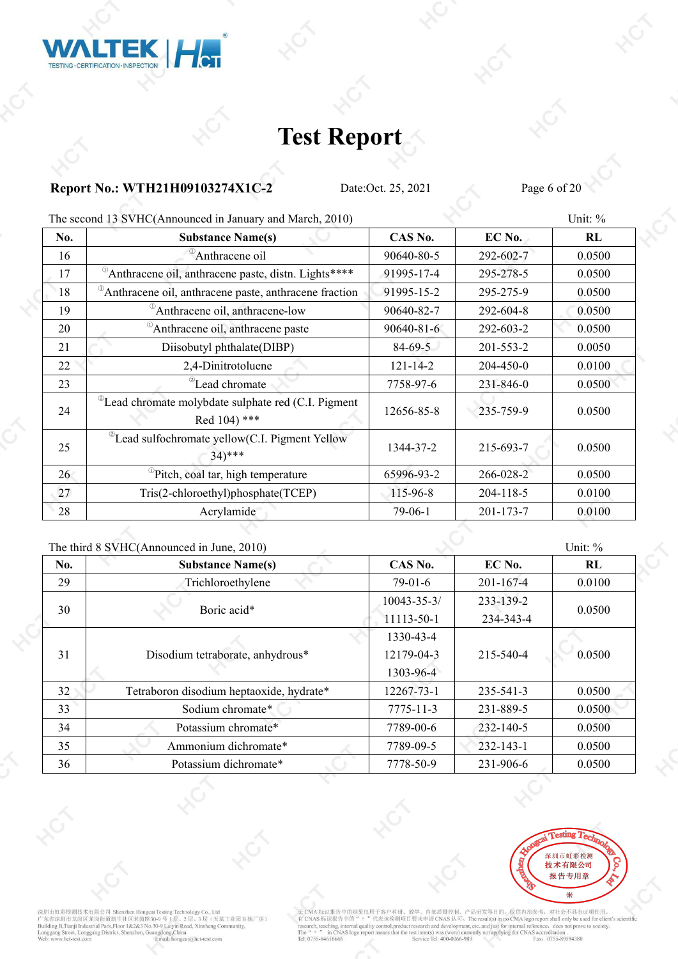![](_page_5_Picture_0.jpeg)

### **Report No.: WTH21H09103274X1C-2** Date:Oct. 25, 2021 Page 6 of 20

| No. | <b>Substance Name(s)</b>                                                           | CAS No.        | EC No.    | RL     |
|-----|------------------------------------------------------------------------------------|----------------|-----------|--------|
| 16  | Anthracene oil                                                                     | 90640-80-5     | 292-602-7 | 0.0500 |
| 17  | <sup>0</sup> Anthracene oil, anthracene paste, distn. Lights****                   | 91995-17-4     | 295-278-5 | 0.0500 |
| 18  | Anthracene oil, anthracene paste, anthracene fraction                              | 91995-15-2     | 295-275-9 | 0.0500 |
| 19  | <sup>1</sup> Anthracene oil, anthracene-low                                        | 90640-82-7     | 292-604-8 | 0.0500 |
| 20  | Anthracene oil, anthracene paste                                                   | 90640-81-6     | 292-603-2 | 0.0500 |
| 21  | Diisobutyl phthalate(DIBP)                                                         | $84 - 69 - 5$  | 201-553-2 | 0.0050 |
| 22  | 2,4-Dinitrotoluene                                                                 | $121 - 14 - 2$ | 204-450-0 | 0.0100 |
| 23  | <sup>2</sup> Lead chromate                                                         | 7758-97-6      | 231-846-0 | 0.0500 |
| 24  | <sup>2</sup> Lead chromate molybdate sulphate red (C.I. Pigment<br>Red $104$ ) *** | 12656-85-8     | 235-759-9 | 0.0500 |
| 25  | <sup>2</sup> Lead sulfochromate yellow(C.I. Pigment Yellow<br>$34$ <sup>***</sup>  | 1344-37-2      | 215-693-7 | 0.0500 |
| 26  | <sup>10</sup> Pitch, coal tar, high temperature                                    | 65996-93-2     | 266-028-2 | 0.0500 |
| 27  | Tris(2-chloroethyl)phosphate(TCEP)                                                 | 115-96-8       | 204-118-5 | 0.0100 |
| 28  | Acrylamide                                                                         | $79-06-1$      | 201-173-7 | 0.0100 |

The second 13 SVHC(Announced in January and March, 2010) Unit: % Unit: %

|     | The third 8 SVHC(Announced in June, 2010) |                   |                 | Unit: % |  |
|-----|-------------------------------------------|-------------------|-----------------|---------|--|
| No. | <b>Substance Name(s)</b>                  | CAS No.           | EC No.          | RL      |  |
| 29  | Trichloroethylene                         | $79-01-6$         | $201 - 167 - 4$ | 0.0100  |  |
| 30  | Boric acid*                               | $10043 - 35 - 3/$ | 233-139-2       |         |  |
|     |                                           | 11113-50-1        | 234-343-4       | 0.0500  |  |
|     |                                           | 1330-43-4         |                 |         |  |
| 31  | Disodium tetraborate, anhydrous*          | 12179-04-3        | 215-540-4       | 0.0500  |  |
|     |                                           | 1303-96-4         |                 |         |  |
| 32  | Tetraboron disodium heptaoxide, hydrate*  | 12267-73-1        | 235-541-3       | 0.0500  |  |
| 33  | Sodium chromate*                          | $7775 - 11 - 3$   | 231-889-5       | 0.0500  |  |
| 34  | Potassium chromate*                       | 7789-00-6         | 232-140-5       | 0.0500  |  |
| 35  | Ammonium dichromate*                      | 7789-09-5         | $232 - 143 - 1$ | 0.0500  |  |
| 36  | Potassium dichromate*                     | 7778-50-9         | 231-906-6       | 0.0500  |  |
|     |                                           |                   |                 |         |  |

![](_page_5_Picture_8.jpeg)

深圳市虹彩检测技术有限公司 Shenzhen Hongcai Testing Technology Co., Ltd<br>广东省深圳市龙岗区龙岗街道新生社区莱茵路30-9 号 1层、2 层、3 层 (天基工业园 B 栋厂房)<br>Building B.Tranji Industrial Park,Floor 1&2&3 No.30-9 Laiyin Road, Xinsheng Community,<br>Longgang Street, Longg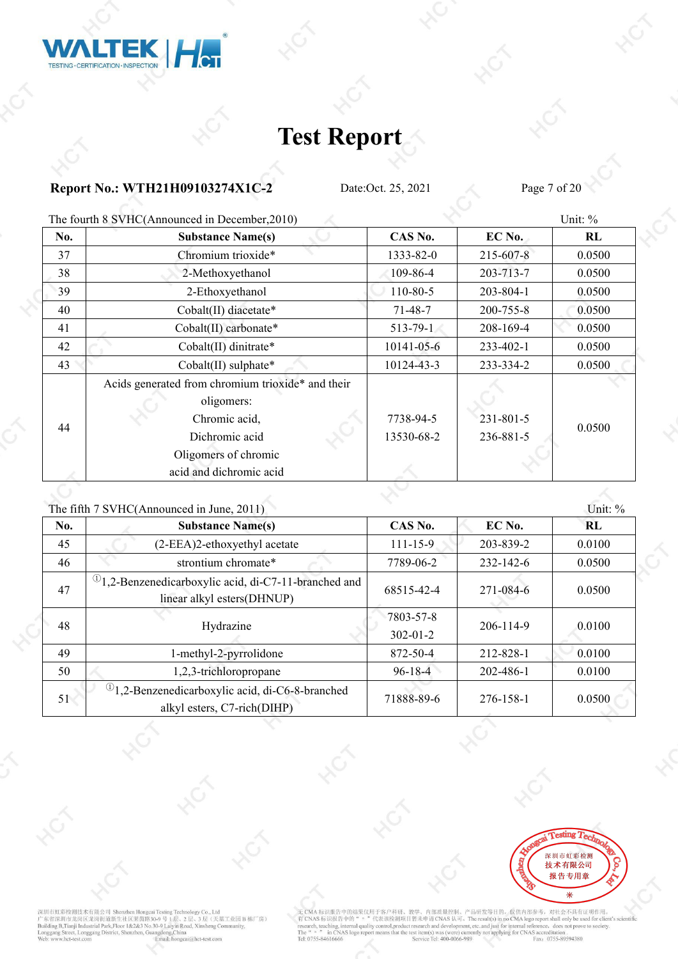![](_page_6_Picture_0.jpeg)

### **Report No.: WTH21H09103274X1C-2** Date:Oct. 25, 2021 Page 7 of 20

The fourth 8 SVHC(Announced in December 2010) Unit: %

|     | THE TOUTH O S VITE (Allifounced in December, 2010)                                                 |                         |                              | $\cup$ IIII. 70 |
|-----|----------------------------------------------------------------------------------------------------|-------------------------|------------------------------|-----------------|
| No. | <b>Substance Name(s)</b>                                                                           | CAS No.                 | EC No.                       | RL              |
| 37  | Chromium trioxide*                                                                                 | 1333-82-0               | 215-607-8                    | 0.0500          |
| 38  | 2-Methoxyethanol                                                                                   | $109 - 86 - 4$          | 203-713-7                    | 0.0500          |
| 39  | 2-Ethoxyethanol                                                                                    | $110 - 80 - 5$          | 203-804-1                    | 0.0500          |
| 40  | Cobalt(II) diacetate*                                                                              | $71 - 48 - 7$           | 200-755-8                    | 0.0500          |
| 41  | Cobalt(II) carbonate*                                                                              | $513 - 79 - 1$          | 208-169-4                    | 0.0500          |
| 42  | Cobalt(II) dinitrate*                                                                              | $10141 - 05 - 6$        | 233-402-1                    | 0.0500          |
| 43  | $Cobalt(II)$ sulphate*                                                                             | 10124-43-3              | 233-334-2                    | 0.0500          |
| 44  | Acids generated from chromium trioxide* and their<br>oligomers:<br>Chromic acid,<br>Dichromic acid | 7738-94-5<br>13530-68-2 | $231 - 801 - 5$<br>236-881-5 | 0.0500          |
|     | Oligomers of chromic<br>acid and dichromic acid                                                    |                         |                              |                 |
|     |                                                                                                    |                         |                              |                 |

|     | The fifth 7 SVHC(Announced in June, 2011)                                                        |                             |           | Unit: % |  |
|-----|--------------------------------------------------------------------------------------------------|-----------------------------|-----------|---------|--|
| No. | <b>Substance Name(s)</b>                                                                         | CAS No.                     | EC No.    | RL      |  |
| 45  | (2-EEA)2-ethoxyethyl acetate                                                                     | $111 - 15 - 9$              | 203-839-2 | 0.0100  |  |
| 46  | strontium chromate*                                                                              | 7789-06-2                   | 232-142-6 | 0.0500  |  |
| 47  | <sup>(1)</sup> 1,2-Benzenedicarboxylic acid, di-C7-11-branched and<br>linear alkyl esters(DHNUP) | 68515-42-4                  | 271-084-6 | 0.0500  |  |
| 48  | Hydrazine                                                                                        | 7803-57-8<br>$302 - 01 - 2$ | 206-114-9 | 0.0100  |  |
| 49  | 1-methyl-2-pyrrolidone                                                                           | 872-50-4                    | 212-828-1 | 0.0100  |  |
| 50  | 1,2,3-trichloropropane                                                                           | $96 - 18 - 4$               | 202-486-1 | 0.0100  |  |
| 51  | $^{(1)}$ 1,2-Benzenedicarboxylic acid, di-C6-8-branched<br>alkyl esters, C7-rich(DIHP)           | 71888-89-6                  | 276-158-1 | 0.0500  |  |

![](_page_6_Picture_8.jpeg)

深圳市虹彩检测技术有限公司 Shenzhen Hongeai Testing Technology Co., Ltd<br>广东省深圳市龙岗区龙岗街道新生社区莱茵路30-9 号 1 层、2 层、3 层 (天基工业园 B 栋厂房)<br>Building B.Tranji Industrial Park,Floor 1&2&3 No.30-9 Laiyin Road, Xinsheng Community,<br>Longgang Street, Longg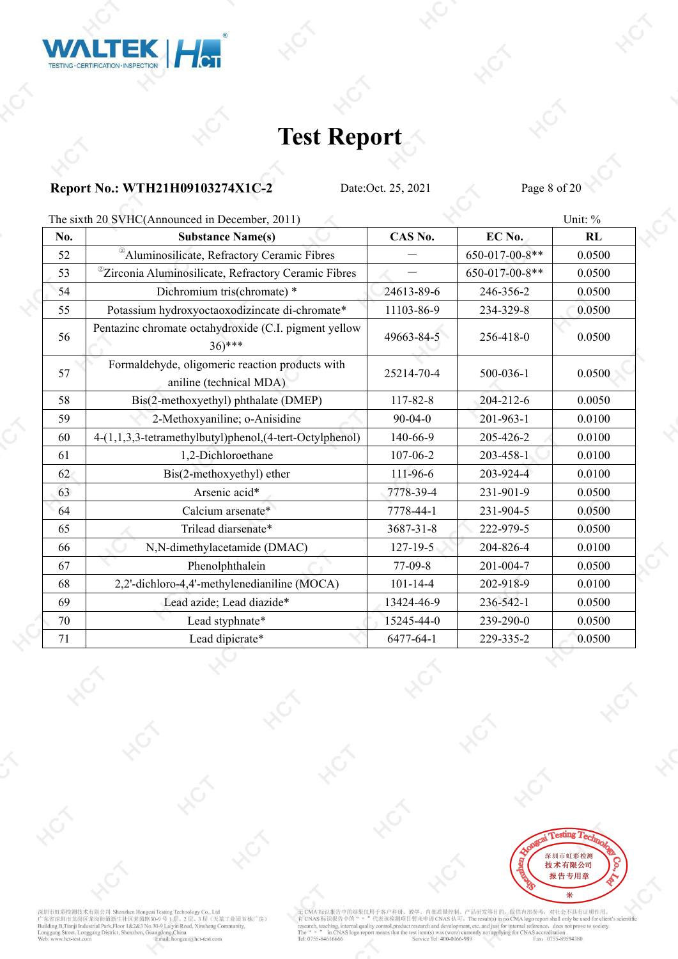![](_page_7_Picture_0.jpeg)

### **Report No.: WTH21H09103274X1C-2** Date:Oct. 25, 2021 Page 8 of 20

The sixth 20 SVHC(Announced in December, 2011) Unit:  $\%$ 

|     | THE SIXULED SATIC Announced in December, 2011)                             |                |                | $UIII.$ /0 |
|-----|----------------------------------------------------------------------------|----------------|----------------|------------|
| No. | <b>Substance Name(s)</b>                                                   | CAS No.        | EC No.         | RL         |
| 52  | <sup>2</sup> Aluminosilicate, Refractory Ceramic Fibres                    |                | 650-017-00-8** | 0.0500     |
| 53  | <sup>@</sup> Zirconia Aluminosilicate, Refractory Ceramic Fibres           |                | 650-017-00-8** | 0.0500     |
| 54  | Dichromium tris(chromate) *                                                | 24613-89-6     | 246-356-2      | 0.0500     |
| 55  | Potassium hydroxyoctaoxodizincate di-chromate*                             | 11103-86-9     | 234-329-8      | 0.0500     |
| 56  | Pentazinc chromate octahydroxide (C.I. pigment yellow<br>$(36)$ ***        | 49663-84-5     | 256-418-0      | 0.0500     |
| 57  | Formaldehyde, oligomeric reaction products with<br>aniline (technical MDA) | 25214-70-4     | 500-036-1      | 0.0500     |
| 58  | Bis(2-methoxyethyl) phthalate (DMEP)                                       | 117-82-8       | 204-212-6      | 0.0050     |
| 59  | 2-Methoxyaniline; o-Anisidine                                              | $90 - 04 - 0$  | 201-963-1      | 0.0100     |
| 60  | 4-(1,1,3,3-tetramethylbutyl)phenol,(4-tert-Octylphenol)                    | 140-66-9       | 205-426-2      | 0.0100     |
| 61  | 1,2-Dichloroethane                                                         | 107-06-2       | 203-458-1      | 0.0100     |
| 62  | Bis(2-methoxyethyl) ether                                                  | 111-96-6       | 203-924-4      | 0.0100     |
| 63  | Arsenic acid*                                                              | 7778-39-4      | 231-901-9      | 0.0500     |
| 64  | Calcium arsenate*                                                          | 7778-44-1      | 231-904-5      | 0.0500     |
| 65  | Trilead diarsenate*                                                        | 3687-31-8      | 222-979-5      | 0.0500     |
| 66  | N,N-dimethylacetamide (DMAC)                                               | $127 - 19 - 5$ | 204-826-4      | 0.0100     |
| 67  | Phenolphthalein                                                            | 77-09-8        | 201-004-7      | 0.0500     |
| 68  | 2,2'-dichloro-4,4'-methylenedianiline (MOCA)                               | $101 - 14 - 4$ | 202-918-9      | 0.0100     |
| 69  | Lead azide; Lead diazide*                                                  | 13424-46-9     | 236-542-1      | 0.0500     |
| 70  | Lead styphnate*                                                            | 15245-44-0     | 239-290-0      | 0.0500     |
| 71  | Lead dipicrate*                                                            | 6477-64-1      | 229-335-2      | 0.0500     |

![](_page_7_Picture_7.jpeg)

深圳市虹彩检测技术有限公司 Shenzhen Hongeai Testing Technology Co., Ltd<br>广东省深圳市龙岗区龙岗街道新生社区莱茵路30-9号 1层、2层、3层(天基工业园 B 栋厂房)<br>Building B.Tranji Industrial Park,Floor 1&2&3 No.30-9号 1层、2层、3层(天基工业园 B 栋厂房)<br>Bunggang Street, Longgang District, S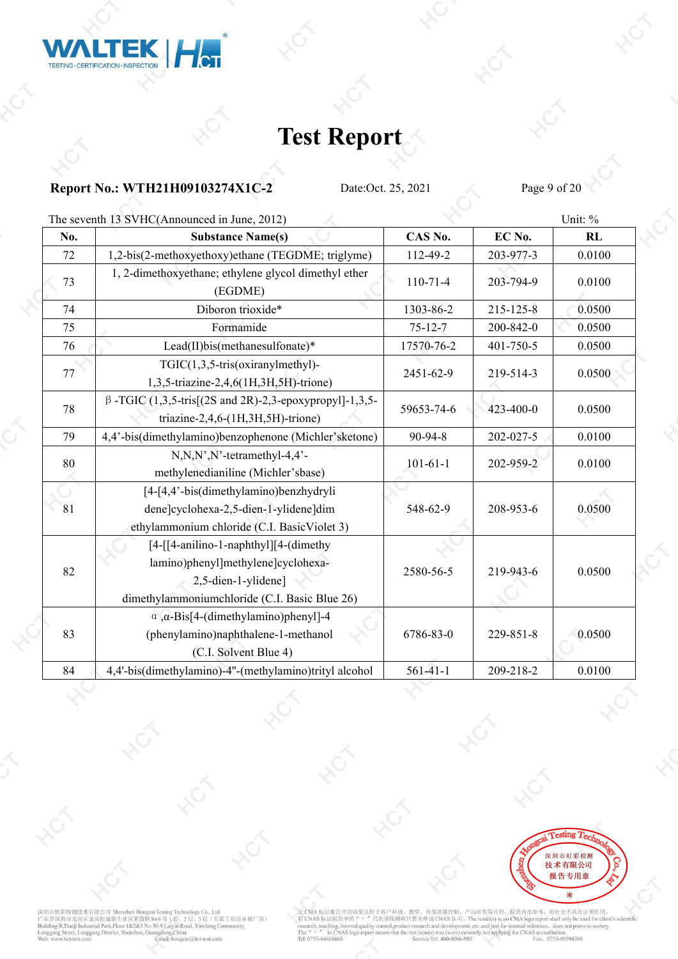![](_page_8_Picture_0.jpeg)

### **Report No.: WTH21H09103274X1C-2** Date:Oct. 25, 2021 Page 9 of 20

The seventh 13 SVHC(Announced in June, 2012) Unit: %

| No.    | <b>Substance Name(s)</b>                                                                                                                            | CAS No.        | EC No.    | RL     |
|--------|-----------------------------------------------------------------------------------------------------------------------------------------------------|----------------|-----------|--------|
| 72     | 1,2-bis(2-methoxyethoxy)ethane (TEGDME; triglyme)                                                                                                   | 112-49-2       | 203-977-3 | 0.0100 |
| 73     | 1, 2-dimethoxyethane; ethylene glycol dimethyl ether<br>(EGDME)                                                                                     | $110-71-4$     | 203-794-9 | 0.0100 |
| 74     | Diboron trioxide*                                                                                                                                   | 1303-86-2      | 215-125-8 | 0.0500 |
| 75     | Formamide                                                                                                                                           | $75 - 12 - 7$  | 200-842-0 | 0.0500 |
| 76     | Lead(II)bis(methanesulfonate)*                                                                                                                      | 17570-76-2     | 401-750-5 | 0.0500 |
| 77     | TGIC(1,3,5-tris(oxiranylmethyl)-<br>1,3,5-triazine-2,4,6(1H,3H,5H)-trione)                                                                          | 2451-62-9      | 219-514-3 | 0.0500 |
| 78     | $\beta$ -TGIC (1,3,5-tris[(2S and 2R)-2,3-epoxypropyl]-1,3,5-<br>triazine-2,4,6- $(1H, 3H, 5H)$ -trione)                                            | 59653-74-6     | 423-400-0 | 0.0500 |
| 79     | 4,4'-bis(dimethylamino)benzophenone (Michler'sketone)                                                                                               | 90-94-8        | 202-027-5 | 0.0100 |
| $80\,$ | $N, N, N', N'$ -tetramethyl-4,4'-<br>methylenedianiline (Michler'sbase)                                                                             | $101 - 61 - 1$ | 202-959-2 | 0.0100 |
| 81     | [4-[4,4'-bis(dimethylamino)benzhydryli<br>dene]cyclohexa-2,5-dien-1-ylidene]dim<br>ethylammonium chloride (C.I. Basic Violet 3)                     | 548-62-9       | 208-953-6 | 0.0500 |
| 82     | [4-[[4-anilino-1-naphthyl][4-(dimethy<br>lamino)phenyl]methylene]cyclohexa-<br>2,5-dien-1-ylidene]<br>dimethylammoniumchloride (C.I. Basic Blue 26) | 2580-56-5      | 219-943-6 | 0.0500 |
| 83     | $\alpha$ , $\alpha$ -Bis[4-(dimethylamino)phenyl]-4<br>(phenylamino)naphthalene-1-methanol<br>(C.I. Solvent Blue 4)                                 | 6786-83-0      | 229-851-8 | 0.0500 |
| 84     | 4,4'-bis(dimethylamino)-4"-(methylamino)trityl alcohol                                                                                              | $561 - 41 - 1$ | 209-218-2 | 0.0100 |

![](_page_8_Picture_7.jpeg)

深圳市虹彩检测技术有限公司 Shenzhen Hongeai Testing Technology Co., Ltd<br>广东省深圳市龙岗区龙岗街道新生社区莱茵路30-9 号 1 层、2 层、3 层 (天基工业园 B 栋厂房)<br>Building B.Tranji Industrial Park,Floor 1&2&3 No.30-9 Laiyin Road, Xinsheng Community,<br>Longgang Street, Longg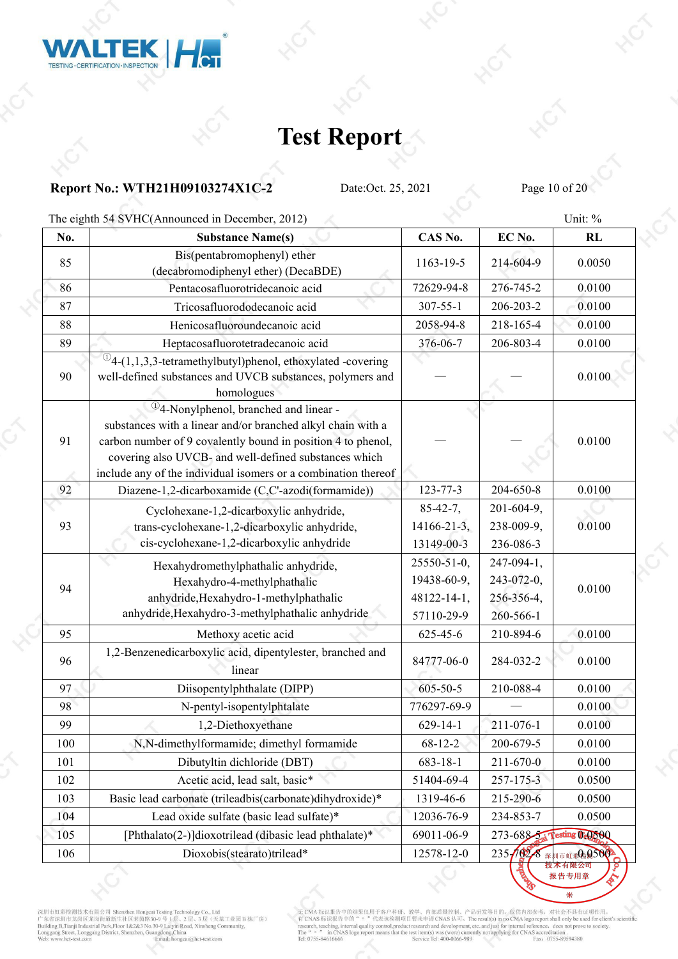![](_page_9_Picture_0.jpeg)

### **Report No.: WTH21H09103274X1C-2** Date:Oct. 25, 2021 Page 10 of 20

The eighth 54 SVHC(Announced in December, 2012) Unit: %

| No. | <b>Substance Name(s)</b>                                                                                                                                                                                                                                                                                                  | CAS No.            | EC No.           | <b>RL</b>            |
|-----|---------------------------------------------------------------------------------------------------------------------------------------------------------------------------------------------------------------------------------------------------------------------------------------------------------------------------|--------------------|------------------|----------------------|
| 85  | Bis(pentabromophenyl) ether<br>(decabromodiphenyl ether) (DecaBDE)                                                                                                                                                                                                                                                        | 1163-19-5          | 214-604-9        | 0.0050               |
| 86  | Pentacosafluorotridecanoic acid                                                                                                                                                                                                                                                                                           | 72629-94-8         | 276-745-2        | 0.0100               |
| 87  | Tricosafluorododecanoic acid                                                                                                                                                                                                                                                                                              | $307 - 55 - 1$     | 206-203-2        | 0.0100               |
| 88  | Henicosafluoroundecanoic acid                                                                                                                                                                                                                                                                                             | 2058-94-8          | 218-165-4        | 0.0100               |
| 89  | Heptacosafluorotetradecanoic acid                                                                                                                                                                                                                                                                                         | 376-06-7           | 206-803-4        | 0.0100               |
| 90  | $^{\circledR}$ 4-(1,1,3,3-tetramethylbutyl)phenol, ethoxylated -covering<br>well-defined substances and UVCB substances, polymers and<br>homologues                                                                                                                                                                       |                    |                  | 0.0100               |
| 91  | <sup>1</sup> / <sub>2</sub> -Nonylphenol, branched and linear -<br>substances with a linear and/or branched alkyl chain with a<br>carbon number of 9 covalently bound in position 4 to phenol,<br>covering also UVCB- and well-defined substances which<br>include any of the individual isomers or a combination thereof |                    |                  | 0.0100               |
| 92  | Diazene-1,2-dicarboxamide (C,C'-azodi(formamide))                                                                                                                                                                                                                                                                         | 123-77-3           | 204-650-8        | 0.0100               |
|     | Cyclohexane-1,2-dicarboxylic anhydride,                                                                                                                                                                                                                                                                                   | $85 - 42 - 7$ ,    | 201-604-9,       |                      |
| 93  | trans-cyclohexane-1,2-dicarboxylic anhydride,                                                                                                                                                                                                                                                                             | $14166 - 21 - 3$ , | 238-009-9,       | 0.0100               |
|     | cis-cyclohexane-1,2-dicarboxylic anhydride                                                                                                                                                                                                                                                                                | 13149-00-3         | 236-086-3        |                      |
|     | Hexahydromethylphathalic anhydride,                                                                                                                                                                                                                                                                                       | 25550-51-0,        | 247-094-1,       |                      |
| 94  | Hexahydro-4-methylphathalic                                                                                                                                                                                                                                                                                               | 19438-60-9,        | 243-072-0,       | 0.0100               |
|     | anhydride, Hexahydro-1-methylphathalic                                                                                                                                                                                                                                                                                    | 48122-14-1,        | 256-356-4,       |                      |
|     | anhydride, Hexahydro-3-methylphathalic anhydride                                                                                                                                                                                                                                                                          | 57110-29-9         | 260-566-1        |                      |
| 95  | Methoxy acetic acid                                                                                                                                                                                                                                                                                                       | 625-45-6           | 210-894-6        | 0.0100               |
| 96  | 1,2-Benzenedicarboxylic acid, dipentylester, branched and<br>linear                                                                                                                                                                                                                                                       | 84777-06-0         | 284-032-2        | 0.0100               |
| 97  | Diisopentylphthalate (DIPP)                                                                                                                                                                                                                                                                                               | $605 - 50 - 5$     | 210-088-4        | 0.0100               |
| 98  | N-pentyl-isopentylphtalate                                                                                                                                                                                                                                                                                                | 776297-69-9        |                  | 0.0100               |
| 99  | 1,2-Diethoxyethane                                                                                                                                                                                                                                                                                                        | $629 - 14 - 1$     | 211-076-1        | 0.0100               |
| 100 | N,N-dimethylformamide; dimethyl formamide                                                                                                                                                                                                                                                                                 | 68-12-2            | 200-679-5        | 0.0100               |
| 101 | Dibutyltin dichloride (DBT)                                                                                                                                                                                                                                                                                               | 683-18-1           | 211-670-0        | 0.0100               |
| 102 | Acetic acid, lead salt, basic*                                                                                                                                                                                                                                                                                            | 51404-69-4         | 257-175-3        | 0.0500               |
| 103 | Basic lead carbonate (trileadbis(carbonate)dihydroxide)*                                                                                                                                                                                                                                                                  | 1319-46-6          | 215-290-6        | 0.0500               |
| 104 | Lead oxide sulfate (basic lead sulfate)*                                                                                                                                                                                                                                                                                  | 12036-76-9         | 234-853-7        | 0.0500               |
| 105 | [Phthalato(2-)]dioxotrilead (dibasic lead phthalate)*                                                                                                                                                                                                                                                                     | 69011-06-9         | $273 - 688 - 54$ | sting OcoooQ         |
| 106 | Dioxobis(stearato)trilead*                                                                                                                                                                                                                                                                                                | 12578-12-0         |                  | 235-102-8 深圳市虹彩的5002 |
|     |                                                                                                                                                                                                                                                                                                                           |                    |                  |                      |

支术有限公司 报告专用章

深圳市虹彩检测技术有限公司 Shenzhen Hongcai Testing Technology Co., Ltd<br>广东省深圳市龙岗区龙岗街道新生社区莱茵路30-9 号 1层、2 层、3 层 (天基工业园 B 栋厂房)<br>Building B.Tranji Industrial Park,Floor 1&2&3 No.30-9 Laiyin Road, Xinsheng Community,<br>Longgang Street, Longg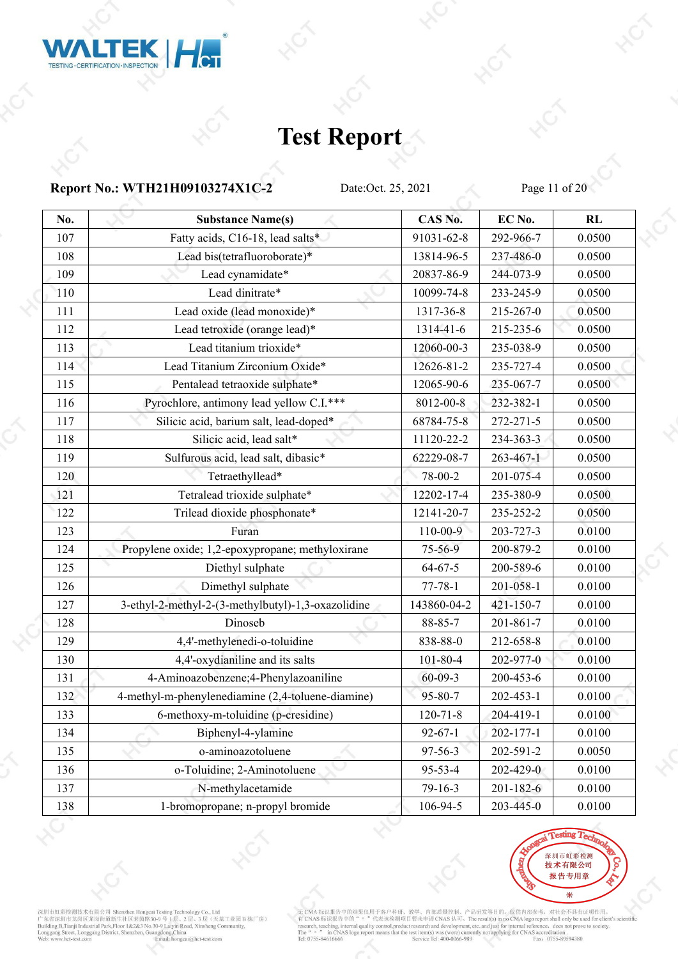![](_page_10_Picture_0.jpeg)

### **Report No.: WTH21H09103274X1C-2** Date:Oct. 25, 2021 Page 11 of 20

| Fatty acids, C16-18, lead salts*<br>91031-62-8<br>292-966-7<br>0.0500<br>107<br>108<br>Lead bis(tetrafluoroborate)*<br>13814-96-5<br>237-486-0<br>0.0500<br>Lead cynamidate*<br>109<br>20837-86-9<br>244-073-9<br>0.0500<br>Lead dinitrate*<br>110<br>10099-74-8<br>233-245-9<br>0.0500<br>Lead oxide (lead monoxide)*<br>1317-36-8<br>215-267-0<br>0.0500<br>111<br>Lead tetroxide (orange lead)*<br>0.0500<br>112<br>1314-41-6<br>215-235-6<br>Lead titanium trioxide*<br>113<br>12060-00-3<br>235-038-9<br>0.0500<br>Lead Titanium Zirconium Oxide*<br>12626-81-2<br>235-727-4<br>0.0500<br>114<br>Pentalead tetraoxide sulphate*<br>0.0500<br>115<br>12065-90-6<br>235-067-7<br>Pyrochlore, antimony lead yellow C.I.***<br>0.0500<br>116<br>8012-00-8<br>232-382-1<br>Silicic acid, barium salt, lead-doped*<br>68784-75-8<br>272-271-5<br>0.0500<br>117<br>Silicic acid, lead salt*<br>0.0500<br>118<br>11120-22-2<br>234-363-3<br>Sulfurous acid, lead salt, dibasic*<br>119<br>62229-08-7<br>$263 - 467 - 1$<br>0.0500<br>Tetraethyllead*<br>78-00-2<br>201-075-4<br>0.0500<br>120<br>Tetralead trioxide sulphate*<br>12202-17-4<br>235-380-9<br>0.0500<br>121<br>Trilead dioxide phosphonate*<br>235-252-2<br>0.0500<br>122<br>12141-20-7<br>123<br>$110 - 00 - 9$<br>203-727-3<br>0.0100<br>Furan<br>0.0100<br>200-879-2<br>124<br>Propylene oxide; 1,2-epoxypropane; methyloxirane<br>75-56-9<br>Diethyl sulphate<br>$64 - 67 - 5$<br>200-589-6<br>0.0100<br>125<br>Dimethyl sulphate<br>201-058-1<br>0.0100<br>126<br>$77 - 78 - 1$<br>3-ethyl-2-methyl-2-(3-methylbutyl)-1,3-oxazolidine<br>143860-04-2<br>421-150-7<br>0.0100<br>127<br>Dinoseb<br>88-85-7<br>201-861-7<br>0.0100<br>128<br>4,4'-methylenedi-o-toluidine<br>0.0100<br>129<br>838-88-0<br>212-658-8<br>4,4'-oxydianiline and its salts<br>0.0100<br>101-80-4<br>202-977-0<br>130<br>4-Aminoazobenzene; 4-Phenylazoaniline<br>131<br>$60 - 09 - 3$<br>200-453-6<br>0.0100<br>4-methyl-m-phenylenediamine (2,4-toluene-diamine)<br>95-80-7<br>0.0100<br>132<br>$202 - 453 - 1$<br>6-methoxy-m-toluidine (p-cresidine)<br>0.0100<br>133<br>$120 - 71 - 8$<br>204-419-1<br>$92 - 67 - 1$<br>0.0100<br>134<br>Biphenyl-4-ylamine<br>202-177-1<br>o-aminoazotoluene<br>97-56-3<br>202-591-2<br>0.0050<br>135<br>o-Toluidine; 2-Aminotoluene<br>95-53-4<br>202-429-0<br>0.0100<br>136<br>N-methylacetamide<br>$79-16-3$<br>0.0100<br>137<br>201-182-6 | No. | <b>Substance Name(s)</b>         | CAS No.  | EC No.    | RL     |
|-----------------------------------------------------------------------------------------------------------------------------------------------------------------------------------------------------------------------------------------------------------------------------------------------------------------------------------------------------------------------------------------------------------------------------------------------------------------------------------------------------------------------------------------------------------------------------------------------------------------------------------------------------------------------------------------------------------------------------------------------------------------------------------------------------------------------------------------------------------------------------------------------------------------------------------------------------------------------------------------------------------------------------------------------------------------------------------------------------------------------------------------------------------------------------------------------------------------------------------------------------------------------------------------------------------------------------------------------------------------------------------------------------------------------------------------------------------------------------------------------------------------------------------------------------------------------------------------------------------------------------------------------------------------------------------------------------------------------------------------------------------------------------------------------------------------------------------------------------------------------------------------------------------------------------------------------------------------------------------------------------------------------------------------------------------------------------------------------------------------------------------------------------------------------------------------------------------------------------------------------------------------------------------------------------------------------------------------------------------------------------------------------------------------------------|-----|----------------------------------|----------|-----------|--------|
|                                                                                                                                                                                                                                                                                                                                                                                                                                                                                                                                                                                                                                                                                                                                                                                                                                                                                                                                                                                                                                                                                                                                                                                                                                                                                                                                                                                                                                                                                                                                                                                                                                                                                                                                                                                                                                                                                                                                                                                                                                                                                                                                                                                                                                                                                                                                                                                                                             |     |                                  |          |           |        |
|                                                                                                                                                                                                                                                                                                                                                                                                                                                                                                                                                                                                                                                                                                                                                                                                                                                                                                                                                                                                                                                                                                                                                                                                                                                                                                                                                                                                                                                                                                                                                                                                                                                                                                                                                                                                                                                                                                                                                                                                                                                                                                                                                                                                                                                                                                                                                                                                                             |     |                                  |          |           |        |
|                                                                                                                                                                                                                                                                                                                                                                                                                                                                                                                                                                                                                                                                                                                                                                                                                                                                                                                                                                                                                                                                                                                                                                                                                                                                                                                                                                                                                                                                                                                                                                                                                                                                                                                                                                                                                                                                                                                                                                                                                                                                                                                                                                                                                                                                                                                                                                                                                             |     |                                  |          |           |        |
|                                                                                                                                                                                                                                                                                                                                                                                                                                                                                                                                                                                                                                                                                                                                                                                                                                                                                                                                                                                                                                                                                                                                                                                                                                                                                                                                                                                                                                                                                                                                                                                                                                                                                                                                                                                                                                                                                                                                                                                                                                                                                                                                                                                                                                                                                                                                                                                                                             |     |                                  |          |           |        |
|                                                                                                                                                                                                                                                                                                                                                                                                                                                                                                                                                                                                                                                                                                                                                                                                                                                                                                                                                                                                                                                                                                                                                                                                                                                                                                                                                                                                                                                                                                                                                                                                                                                                                                                                                                                                                                                                                                                                                                                                                                                                                                                                                                                                                                                                                                                                                                                                                             |     |                                  |          |           |        |
|                                                                                                                                                                                                                                                                                                                                                                                                                                                                                                                                                                                                                                                                                                                                                                                                                                                                                                                                                                                                                                                                                                                                                                                                                                                                                                                                                                                                                                                                                                                                                                                                                                                                                                                                                                                                                                                                                                                                                                                                                                                                                                                                                                                                                                                                                                                                                                                                                             |     |                                  |          |           |        |
|                                                                                                                                                                                                                                                                                                                                                                                                                                                                                                                                                                                                                                                                                                                                                                                                                                                                                                                                                                                                                                                                                                                                                                                                                                                                                                                                                                                                                                                                                                                                                                                                                                                                                                                                                                                                                                                                                                                                                                                                                                                                                                                                                                                                                                                                                                                                                                                                                             |     |                                  |          |           |        |
|                                                                                                                                                                                                                                                                                                                                                                                                                                                                                                                                                                                                                                                                                                                                                                                                                                                                                                                                                                                                                                                                                                                                                                                                                                                                                                                                                                                                                                                                                                                                                                                                                                                                                                                                                                                                                                                                                                                                                                                                                                                                                                                                                                                                                                                                                                                                                                                                                             |     |                                  |          |           |        |
|                                                                                                                                                                                                                                                                                                                                                                                                                                                                                                                                                                                                                                                                                                                                                                                                                                                                                                                                                                                                                                                                                                                                                                                                                                                                                                                                                                                                                                                                                                                                                                                                                                                                                                                                                                                                                                                                                                                                                                                                                                                                                                                                                                                                                                                                                                                                                                                                                             |     |                                  |          |           |        |
|                                                                                                                                                                                                                                                                                                                                                                                                                                                                                                                                                                                                                                                                                                                                                                                                                                                                                                                                                                                                                                                                                                                                                                                                                                                                                                                                                                                                                                                                                                                                                                                                                                                                                                                                                                                                                                                                                                                                                                                                                                                                                                                                                                                                                                                                                                                                                                                                                             |     |                                  |          |           |        |
|                                                                                                                                                                                                                                                                                                                                                                                                                                                                                                                                                                                                                                                                                                                                                                                                                                                                                                                                                                                                                                                                                                                                                                                                                                                                                                                                                                                                                                                                                                                                                                                                                                                                                                                                                                                                                                                                                                                                                                                                                                                                                                                                                                                                                                                                                                                                                                                                                             |     |                                  |          |           |        |
|                                                                                                                                                                                                                                                                                                                                                                                                                                                                                                                                                                                                                                                                                                                                                                                                                                                                                                                                                                                                                                                                                                                                                                                                                                                                                                                                                                                                                                                                                                                                                                                                                                                                                                                                                                                                                                                                                                                                                                                                                                                                                                                                                                                                                                                                                                                                                                                                                             |     |                                  |          |           |        |
|                                                                                                                                                                                                                                                                                                                                                                                                                                                                                                                                                                                                                                                                                                                                                                                                                                                                                                                                                                                                                                                                                                                                                                                                                                                                                                                                                                                                                                                                                                                                                                                                                                                                                                                                                                                                                                                                                                                                                                                                                                                                                                                                                                                                                                                                                                                                                                                                                             |     |                                  |          |           |        |
|                                                                                                                                                                                                                                                                                                                                                                                                                                                                                                                                                                                                                                                                                                                                                                                                                                                                                                                                                                                                                                                                                                                                                                                                                                                                                                                                                                                                                                                                                                                                                                                                                                                                                                                                                                                                                                                                                                                                                                                                                                                                                                                                                                                                                                                                                                                                                                                                                             |     |                                  |          |           |        |
|                                                                                                                                                                                                                                                                                                                                                                                                                                                                                                                                                                                                                                                                                                                                                                                                                                                                                                                                                                                                                                                                                                                                                                                                                                                                                                                                                                                                                                                                                                                                                                                                                                                                                                                                                                                                                                                                                                                                                                                                                                                                                                                                                                                                                                                                                                                                                                                                                             |     |                                  |          |           |        |
|                                                                                                                                                                                                                                                                                                                                                                                                                                                                                                                                                                                                                                                                                                                                                                                                                                                                                                                                                                                                                                                                                                                                                                                                                                                                                                                                                                                                                                                                                                                                                                                                                                                                                                                                                                                                                                                                                                                                                                                                                                                                                                                                                                                                                                                                                                                                                                                                                             |     |                                  |          |           |        |
|                                                                                                                                                                                                                                                                                                                                                                                                                                                                                                                                                                                                                                                                                                                                                                                                                                                                                                                                                                                                                                                                                                                                                                                                                                                                                                                                                                                                                                                                                                                                                                                                                                                                                                                                                                                                                                                                                                                                                                                                                                                                                                                                                                                                                                                                                                                                                                                                                             |     |                                  |          |           |        |
|                                                                                                                                                                                                                                                                                                                                                                                                                                                                                                                                                                                                                                                                                                                                                                                                                                                                                                                                                                                                                                                                                                                                                                                                                                                                                                                                                                                                                                                                                                                                                                                                                                                                                                                                                                                                                                                                                                                                                                                                                                                                                                                                                                                                                                                                                                                                                                                                                             |     |                                  |          |           |        |
|                                                                                                                                                                                                                                                                                                                                                                                                                                                                                                                                                                                                                                                                                                                                                                                                                                                                                                                                                                                                                                                                                                                                                                                                                                                                                                                                                                                                                                                                                                                                                                                                                                                                                                                                                                                                                                                                                                                                                                                                                                                                                                                                                                                                                                                                                                                                                                                                                             |     |                                  |          |           |        |
|                                                                                                                                                                                                                                                                                                                                                                                                                                                                                                                                                                                                                                                                                                                                                                                                                                                                                                                                                                                                                                                                                                                                                                                                                                                                                                                                                                                                                                                                                                                                                                                                                                                                                                                                                                                                                                                                                                                                                                                                                                                                                                                                                                                                                                                                                                                                                                                                                             |     |                                  |          |           |        |
|                                                                                                                                                                                                                                                                                                                                                                                                                                                                                                                                                                                                                                                                                                                                                                                                                                                                                                                                                                                                                                                                                                                                                                                                                                                                                                                                                                                                                                                                                                                                                                                                                                                                                                                                                                                                                                                                                                                                                                                                                                                                                                                                                                                                                                                                                                                                                                                                                             |     |                                  |          |           |        |
|                                                                                                                                                                                                                                                                                                                                                                                                                                                                                                                                                                                                                                                                                                                                                                                                                                                                                                                                                                                                                                                                                                                                                                                                                                                                                                                                                                                                                                                                                                                                                                                                                                                                                                                                                                                                                                                                                                                                                                                                                                                                                                                                                                                                                                                                                                                                                                                                                             |     |                                  |          |           |        |
|                                                                                                                                                                                                                                                                                                                                                                                                                                                                                                                                                                                                                                                                                                                                                                                                                                                                                                                                                                                                                                                                                                                                                                                                                                                                                                                                                                                                                                                                                                                                                                                                                                                                                                                                                                                                                                                                                                                                                                                                                                                                                                                                                                                                                                                                                                                                                                                                                             |     |                                  |          |           |        |
|                                                                                                                                                                                                                                                                                                                                                                                                                                                                                                                                                                                                                                                                                                                                                                                                                                                                                                                                                                                                                                                                                                                                                                                                                                                                                                                                                                                                                                                                                                                                                                                                                                                                                                                                                                                                                                                                                                                                                                                                                                                                                                                                                                                                                                                                                                                                                                                                                             |     |                                  |          |           |        |
|                                                                                                                                                                                                                                                                                                                                                                                                                                                                                                                                                                                                                                                                                                                                                                                                                                                                                                                                                                                                                                                                                                                                                                                                                                                                                                                                                                                                                                                                                                                                                                                                                                                                                                                                                                                                                                                                                                                                                                                                                                                                                                                                                                                                                                                                                                                                                                                                                             |     |                                  |          |           |        |
|                                                                                                                                                                                                                                                                                                                                                                                                                                                                                                                                                                                                                                                                                                                                                                                                                                                                                                                                                                                                                                                                                                                                                                                                                                                                                                                                                                                                                                                                                                                                                                                                                                                                                                                                                                                                                                                                                                                                                                                                                                                                                                                                                                                                                                                                                                                                                                                                                             |     |                                  |          |           |        |
|                                                                                                                                                                                                                                                                                                                                                                                                                                                                                                                                                                                                                                                                                                                                                                                                                                                                                                                                                                                                                                                                                                                                                                                                                                                                                                                                                                                                                                                                                                                                                                                                                                                                                                                                                                                                                                                                                                                                                                                                                                                                                                                                                                                                                                                                                                                                                                                                                             |     |                                  |          |           |        |
|                                                                                                                                                                                                                                                                                                                                                                                                                                                                                                                                                                                                                                                                                                                                                                                                                                                                                                                                                                                                                                                                                                                                                                                                                                                                                                                                                                                                                                                                                                                                                                                                                                                                                                                                                                                                                                                                                                                                                                                                                                                                                                                                                                                                                                                                                                                                                                                                                             |     |                                  |          |           |        |
|                                                                                                                                                                                                                                                                                                                                                                                                                                                                                                                                                                                                                                                                                                                                                                                                                                                                                                                                                                                                                                                                                                                                                                                                                                                                                                                                                                                                                                                                                                                                                                                                                                                                                                                                                                                                                                                                                                                                                                                                                                                                                                                                                                                                                                                                                                                                                                                                                             |     |                                  |          |           |        |
|                                                                                                                                                                                                                                                                                                                                                                                                                                                                                                                                                                                                                                                                                                                                                                                                                                                                                                                                                                                                                                                                                                                                                                                                                                                                                                                                                                                                                                                                                                                                                                                                                                                                                                                                                                                                                                                                                                                                                                                                                                                                                                                                                                                                                                                                                                                                                                                                                             |     |                                  |          |           |        |
|                                                                                                                                                                                                                                                                                                                                                                                                                                                                                                                                                                                                                                                                                                                                                                                                                                                                                                                                                                                                                                                                                                                                                                                                                                                                                                                                                                                                                                                                                                                                                                                                                                                                                                                                                                                                                                                                                                                                                                                                                                                                                                                                                                                                                                                                                                                                                                                                                             |     |                                  |          |           |        |
|                                                                                                                                                                                                                                                                                                                                                                                                                                                                                                                                                                                                                                                                                                                                                                                                                                                                                                                                                                                                                                                                                                                                                                                                                                                                                                                                                                                                                                                                                                                                                                                                                                                                                                                                                                                                                                                                                                                                                                                                                                                                                                                                                                                                                                                                                                                                                                                                                             | 138 | 1-bromopropane; n-propyl bromide | 106-94-5 | 203-445-0 | 0.0100 |

![](_page_10_Picture_6.jpeg)

深圳市虹彩检测技术有限公司 Shenzhen Hongeai Testing Technology Co., Ltd<br>广东省深圳市龙岗区龙岗街道新生社区莱茵路30-9 号 1层、2 层、3 层 (天基工业园 B 栋厂房)<br>Building B.Tianji Industrial Park,Floor 1&2&3 No.30-9 Laylor Road, Xinsheng Community,<br>Longgang Street, Longga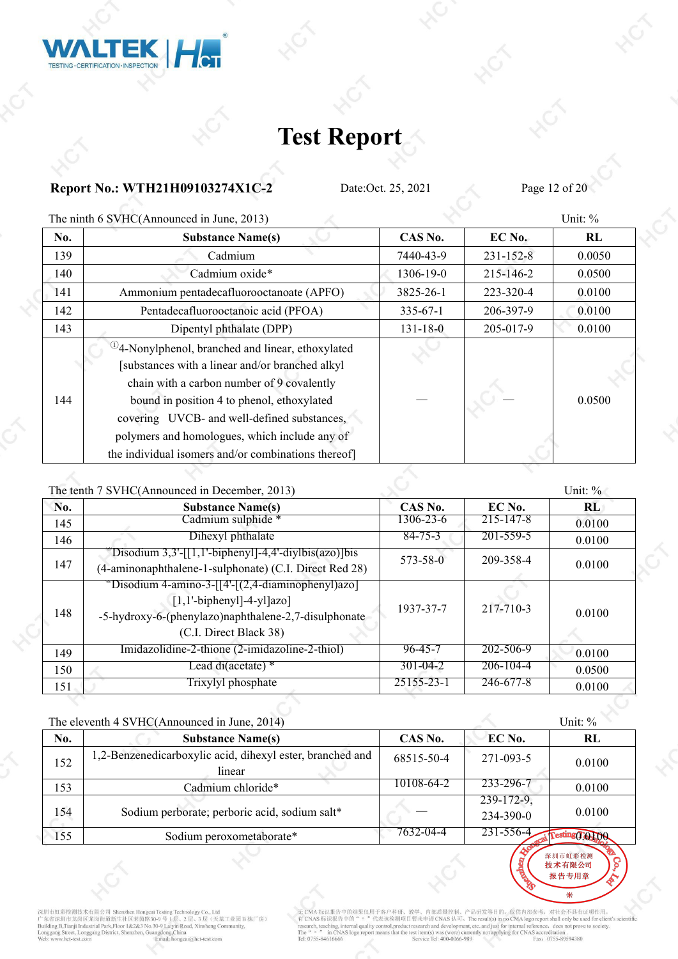![](_page_11_Picture_0.jpeg)

### **Report No.: WTH21H09103274X1C-2** Date:Oct. 25, 2021 Page 12 of 20

**LTEK HOT** 

TESTING · CERTIFICATION · INSPECTION

The ninth 6 SVHC(Announced in June, 2013) Unit: %

| No. | <b>Substance Name(s)</b>                                                                                                                                                                                                                                                                                       | CAS No.        | $EC$ No.        | RL     |
|-----|----------------------------------------------------------------------------------------------------------------------------------------------------------------------------------------------------------------------------------------------------------------------------------------------------------------|----------------|-----------------|--------|
| 139 | Cadmium                                                                                                                                                                                                                                                                                                        | 7440-43-9      | $231 - 152 - 8$ | 0.0050 |
| 140 | Cadmium oxide*                                                                                                                                                                                                                                                                                                 | 1306-19-0      | 215-146-2       | 0.0500 |
| 141 | Ammonium pentadecafluorooctanoate (APFO)                                                                                                                                                                                                                                                                       | 3825-26-1      | 223-320-4       | 0.0100 |
| 142 | Pentadecafluorooctanoic acid (PFOA)                                                                                                                                                                                                                                                                            | $335 - 67 - 1$ | 206-397-9       | 0.0100 |
| 143 | Dipentyl phthalate (DPP)                                                                                                                                                                                                                                                                                       | $131 - 18 - 0$ | 205-017-9       | 0.0100 |
| 144 | <sup>(1)</sup> 4-Nonylphenol, branched and linear, ethoxylated<br>[substances with a linear and/or branched alkyl]<br>chain with a carbon number of 9 covalently<br>bound in position 4 to phenol, ethoxylated<br>covering UVCB- and well-defined substances,<br>polymers and homologues, which include any of |                |                 | 0.0500 |
|     | the individual isomers and/or combinations thereof]                                                                                                                                                                                                                                                            |                |                 |        |

The tenth 7 SVHC(Announced in December, 2013) Unit:  $\%$ 

|     | The tend $\ell$ by FIC(Tangularity in December, 2015)                                                                                                                                   |                |                 | $\cup$ HIL. $\vee$ |  |
|-----|-----------------------------------------------------------------------------------------------------------------------------------------------------------------------------------------|----------------|-----------------|--------------------|--|
| No. | <b>Substance Name(s)</b>                                                                                                                                                                | CAS No.        | EC No.          | RL.                |  |
| 145 | Cadmium sulphide *                                                                                                                                                                      | 1306-23-6      | 215-147-8       | 0.0100             |  |
| 146 | Dihexyl phthalate                                                                                                                                                                       | $84 - 75 - 3$  | 201-559-5       | 0.0100             |  |
| 147 | $\text{Disodium } 3,3'-[[1,1'-biphenyl]-4,4'-diylbis(azo)]$ bis<br>(4-aminonaphthalene-1-sulphonate) (C.I. Direct Red 28)                                                               | 573-58-0       | 209-358-4       | 0.0100             |  |
| 148 | $\sqrt[3]{\text{Disodium}}$ 4-amino-3-[[4'-[(2,4-diaminophenyl)azo]<br>$[1,1'-bipheny]$ -4-yl $[azo]$<br>-5-hydroxy-6-(phenylazo)naphthalene-2,7-disulphonate<br>(C.I. Direct Black 38) | 1937-37-7      | 217-710-3       | 0.0100             |  |
| 149 | Imidazolidine-2-thione (2-imidazoline-2-thiol)                                                                                                                                          | 96-45-7        | 202-506-9       | 0.0100             |  |
| 150 | Lead di(acetate) *                                                                                                                                                                      | $301 - 04 - 2$ | 206-104-4       | 0.0500             |  |
| 151 | Trixylyl phosphate                                                                                                                                                                      | 25155-23-1     | $246 - 677 - 8$ | 0.0100             |  |

|     | The eleventh 4 SVHC(Announced in June, 2014)                        |            |                            | Unit: %          |  |
|-----|---------------------------------------------------------------------|------------|----------------------------|------------------|--|
| No. | <b>Substance Name(s)</b>                                            | CAS No.    | EC No.                     | RL               |  |
| 152 | 1,2-Benzenedicarboxylic acid, dihexyl ester, branched and<br>linear | 68515-50-4 | 271-093-5                  | 0.0100           |  |
| 153 | Cadmium chloride*                                                   | 10108-64-2 | 233-296-7                  | 0.0100           |  |
| 154 | Sodium perborate; perboric acid, sodium salt*                       |            | $239-172-9$ ,<br>234-390-0 | 0.0100           |  |
| 155 | Sodium peroxometaborate*                                            | 7632-04-4  | 231-556-4.                 | resting (TO LOOK |  |

深圳市虹彩检测<br>**技术有限公司** 报告专用章

深圳市虹彩检测技术有限公司 Shenzhen Hongeai Testing Technology Co., Ltd<br>广东省深圳市龙岗区龙岗街道新生社区莱茵路30-9号 1层、2层、3层(天基工业园 B 栋厂房)<br>Building B.Tranji Industrial Park,Floor 1&2&3 No.30-9号 1层、2层、3层(天基工业园 B 栋厂房)<br>Bunggang Street, Longgang District, S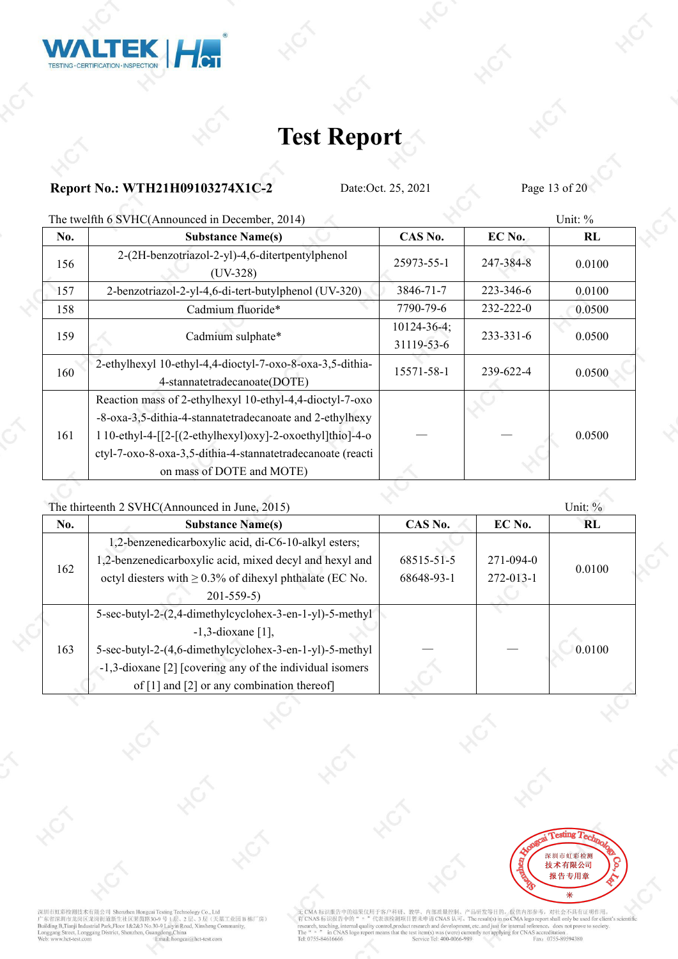![](_page_12_Picture_0.jpeg)

#### **Report No.: WTH21H09103274X1C-2** Date:Oct. 25, 2021 Page 13 of 20

The twelfth 6 SVHC(Announced in December, 2014) Unit: %

|     | The enshing $\sigma$ is virted announced in December, 2011,                                                                                                                                                                                                    |                                  |                 | <b>U</b> |
|-----|----------------------------------------------------------------------------------------------------------------------------------------------------------------------------------------------------------------------------------------------------------------|----------------------------------|-----------------|----------|
| No. | <b>Substance Name(s)</b>                                                                                                                                                                                                                                       | CAS No.                          | EC No.          | RL       |
| 156 | 2-(2H-benzotriazol-2-yl)-4,6-ditertpentylphenol<br>$(UV-328)$                                                                                                                                                                                                  | 25973-55-1                       | 247-384-8       | 0.0100   |
| 157 | 2-benzotriazol-2-yl-4,6-di-tert-butylphenol (UV-320)                                                                                                                                                                                                           | 3846-71-7                        | 223-346-6       | 0.0100   |
| 158 | Cadmium fluoride*                                                                                                                                                                                                                                              | 7790-79-6                        | $232 - 222 - 0$ | 0.0500   |
| 159 | Cadmium sulphate*                                                                                                                                                                                                                                              | $10124 - 36 - 4$ ;<br>31119-53-6 | $233 - 331 - 6$ | 0.0500   |
| 160 | 2-ethylhexyl 10-ethyl-4,4-dioctyl-7-oxo-8-oxa-3,5-dithia-<br>4-stannatetradecanoate(DOTE)                                                                                                                                                                      | 15571-58-1                       | 239-622-4       | 0.0500   |
| 161 | Reaction mass of 2-ethylhexyl 10-ethyl-4,4-dioctyl-7-oxo<br>-8-oxa-3,5-dithia-4-stannatetradecanoate and 2-ethylhexy<br>$110$ -ethyl-4- $[2-(2-ethylhexy]$ ) $oxy$ ]-2- $oxoethyl]$ thio]-4- $o$<br>ctyl-7-oxo-8-oxa-3,5-dithia-4-stannatetradecanoate (reacti |                                  |                 | 0.0500   |
|     | on mass of DOTE and MOTE)                                                                                                                                                                                                                                      |                                  |                 |          |

The [thirteenth](javascript:void(0);) 2 SVHC(Announced in June, 2015) Unit: %

**No. Substance Name(s) CAS No. EC No. RL**  $162 \quad \text{otyl}$  diesters with  $\geq 0.3\%$  of dihexyl phthalate (EC No. 68648-93-1 2) 1,2-benzenedicarboxylic acid, di-C6-10-alkyl esters; 1,2-benzenedicarboxylic acid, mixed decyl and hexyl and 201-559-5) 68515-51-5 68648-93-1 272-013-1 271-094-0 0.0100 163 5-sec-butyl-2-(4,6-dimethylcyclohex-3-en-1-yl)-5-methyl 5-sec-butyl-2-(2,4-dimethylcyclohex-3-en-1-yl)-5-methyl -1,3-dioxane [1], -1,3-dioxane [2] [covering any of the individual isomers tyl-2-(4,6-dimethylcyclohex-3-en-1-yl)-5-methyl<br>
oxane [2] [covering any of the individual isomers<br>
of [1] and [2] or any combination thereof]

![](_page_12_Picture_9.jpeg)

深圳市虹彩检测技术有限公司 Shenzhen Hongca 一<br>天基工业园 B 栋厂房) 下省深圳市龙岗区龙岗街道新生社区莱茵路30-9号 层、2月 B, Tianji Industrial Park, Floor 1&2&3 No.30-9 Laivin Road, X  $ctSh$ .<br>ai@hct-test.com

H于客户科研、教学、内部质量控制、产品研发等目的、仅供内部参考,对社会不具有证明作用。<br>代表该检测项目暂未申请 CNAS 认可。The result(s) in no CMA logo report shall only be used for client's scientific<br>y control,product research and development, etc..and just for internal refere 无 CMA 标识报告中的结果仅用于客 了CNAS 标识报告中的 arch, teaching, in al quality of **JASI** Tel: 0755-84616666 vice Tel: 400-0066-989 Saccionation.<br>Fax: 0755-89594380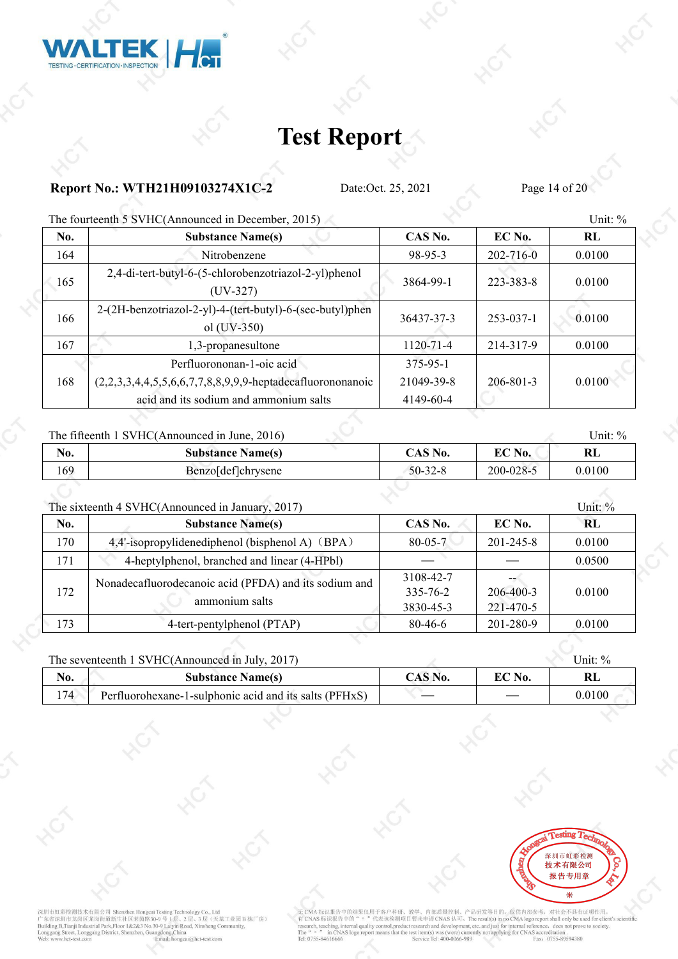![](_page_13_Picture_0.jpeg)

### **Report No.: WTH21H09103274X1C-2** Date:Oct. 25, 2021 Page 14 of 20

The [fourteenth](javascript:void(0);) 5 SVHC(Announced in December, 2015) Unit:  $\%$ 

|     | THE TOUTIC THILE S VITE (ATHROUNCEd III December, 2015)                    |                 |                 | $\cup$ HIL. $\vee$ |  |
|-----|----------------------------------------------------------------------------|-----------------|-----------------|--------------------|--|
| No. | <b>Substance Name(s)</b>                                                   | CAS No.         | EC No.          | RL                 |  |
| 164 | Nitrobenzene                                                               | 98-95-3         | 202-716-0       | 0.0100             |  |
| 165 | 2,4-di-tert-butyl-6-(5-chlorobenzotriazol-2-yl)phenol<br>$(UV-327)$        | 3864-99-1       | 223-383-8       | 0.0100             |  |
| 166 | 2-(2H-benzotriazol-2-yl)-4-(tert-butyl)-6-(sec-butyl)phen<br>ol $(UV-350)$ | 36437-37-3      | $253 - 037 - 1$ | 0.0100             |  |
| 167 | 1,3-propanesultone                                                         | $1120 - 71 - 4$ | 214-317-9       | 0.0100             |  |
|     | Perfluorononan-1-oic acid                                                  | 375-95-1        |                 |                    |  |
| 168 | (2,2,3,3,4,4,5,5,6,6,7,7,8,8,9,9,9-heptadecafluorononanoic                 | 21049-39-8      | $206 - 801 - 3$ | 0.0100             |  |
|     | acid and its sodium and ammonium salts                                     | 4149-60-4       |                 |                    |  |

#### The fifteenth 1 SVHC(Announced in June, 2016) Unit: % Unit: %

| $\frac{1}{100}$ integrating to $\frac{1}{100}$ . The same called the called $\frac{1}{100}$ |                          |               |                |        |
|---------------------------------------------------------------------------------------------|--------------------------|---------------|----------------|--------|
| No.                                                                                         | <b>Substance Name(s)</b> | $CAS$ No.     | $\Gamma C$ No. | RL     |
| 169                                                                                         | Benzol det chrysene      | $50 - 32 - 8$ | 200-028-5      | 0.0100 |

#### The sixteenth 4 SVHC(Announced in January, 2017) Unit: %

|     | The binteenth $\overline{\phantom{a}}$ by $\overline{\phantom{a}}$ and $\overline{\phantom{a}}$ and $\overline{\phantom{a}}$ and $\overline{\phantom{a}}$ and $\overline{\phantom{a}}$ |                                          |                              | $OIII$ . $O$ |
|-----|----------------------------------------------------------------------------------------------------------------------------------------------------------------------------------------|------------------------------------------|------------------------------|--------------|
| No. | <b>Substance Name(s)</b>                                                                                                                                                               | CAS No.                                  | EC No.                       | <b>RL</b>    |
| 170 | 4,4'-isopropylidenediphenol (bisphenol A) (BPA)                                                                                                                                        | $80 - 05 - 7$                            | $201 - 245 - 8$              | 0.0100       |
| 171 | 4-heptylphenol, branched and linear (4-HPbl)                                                                                                                                           |                                          |                              | 0.0500       |
| 172 | Nonadecafluorodecanoic acid (PFDA) and its sodium and<br>ammonium salts                                                                                                                | 3108-42-7<br>$335 - 76 - 2$<br>3830-45-3 | $206 - 400 - 3$<br>221-470-5 | 0.0100       |
| 173 | 4-tert-pentylphenol (PTAP)                                                                                                                                                             | 80-46-6                                  | 201-280-9                    | 0.0100       |

#### The seventeenth 1 SVHC(Announced in July, 2017) Unit: % Unit: %

| NO.         | <b>Name</b> (s)                                                                       | $\sim$ $\sim$ $\sim$ $\sim$ $\sim$ | <b>DOM</b> | T.                        |
|-------------|---------------------------------------------------------------------------------------|------------------------------------|------------|---------------------------|
|             | Substance                                                                             | NO.                                | NO.        | иT                        |
| $1 -$<br>74 | s salts (PFHxS)<br>$\tilde{\phantom{a}}$<br>luorohexane-1-sulphonic acid and i<br>1ts |                                    |            | 100<br>$\Omega$<br>V.VIVU |

![](_page_13_Picture_13.jpeg)

深圳市虹彩检测技术有限公司 Shenzhen Hongcai Testing Technology Co.,<br>广东省深圳市龙岗区龙岗街道新生社区莱茵路30-9号 1层、2层、3层<br>Building B,Tianji Industrial Park,Floor 1&2&3 No.30-9 Ligy、2层、3层<br>Longgang Street, Longgang District, Shenzhen, Guangdong,China ology Co., Ltd , Co., Ltd<br>3 层 (天基工业园 B 栋厂房) ..<br>:ai@hct-test.com

CMA标识报告中的结果仅用于客户科研、教学、内部质量控制、产品研发等目的、仅供内部参考,对社会不具有证明作用。<br>CNAS标识报告中的" = "代表该检测项目智未申请CNAS认可。The result(s) in no CMA logo report shall only be used for client's scientific<br>carch, teaching, internal quality control,product res 无 CMA 标识报告中的结果仅用于客户科研、教学<br>有 CNAS 标识报告中的 " 。"代表该检测项目暂: The "  $n$  " in CN/<br>Tel: 0755-84616666 vice Tel: 400-0066-989 Saccionation.<br>Fax: 0755-89594380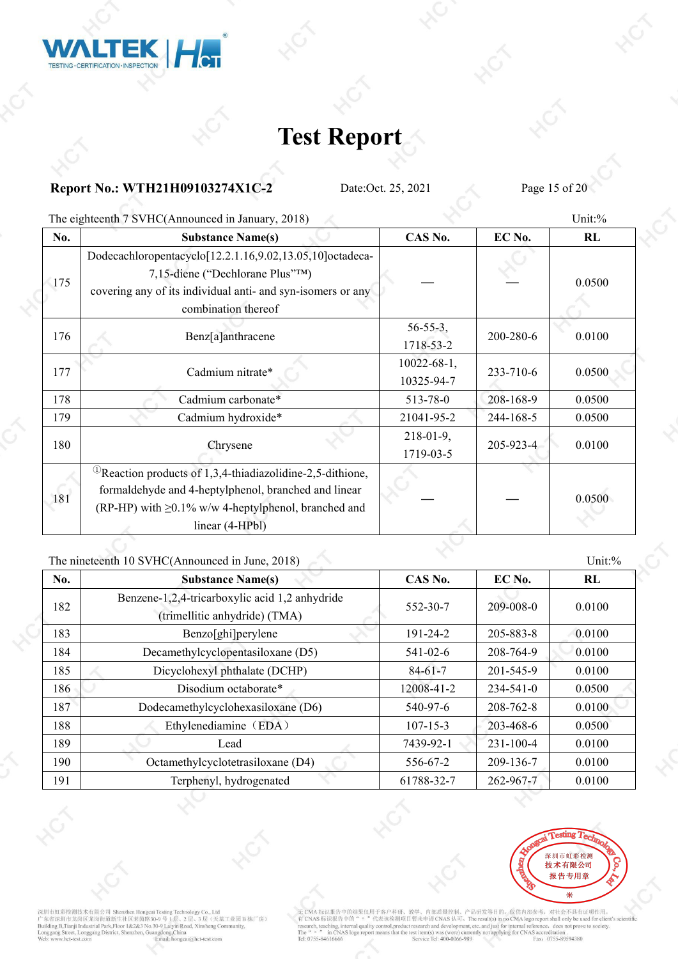![](_page_14_Picture_0.jpeg)

### **Report No.: WTH21H09103274X1C-2** Date:Oct. 25, 2021 Page 15 of 20

The eighteenth 7 SVHC(Announced in January, 2018) Unit:%

| No. | <b>Substance Name(s)</b>                                                                                                                                                                                         | CAS No.                          | EC No.    | RL     |
|-----|------------------------------------------------------------------------------------------------------------------------------------------------------------------------------------------------------------------|----------------------------------|-----------|--------|
| 175 | Dodecachloropentacyclo[12.2.1.16,9.02,13.05,10]octadeca-<br>7,15-diene ("Dechlorane Plus"TM)<br>covering any of its individual anti- and syn-isomers or any<br>combination thereof                               |                                  |           | 0.0500 |
| 176 | Benz[a]anthracene                                                                                                                                                                                                | $56 - 55 - 3$ ,<br>1718-53-2     | 200-280-6 | 0.0100 |
| 177 | Cadmium nitrate*                                                                                                                                                                                                 | $10022 - 68 - 1$ ,<br>10325-94-7 | 233-710-6 | 0.0500 |
| 178 | Cadmium carbonate*                                                                                                                                                                                               | 513-78-0                         | 208-168-9 | 0.0500 |
| 179 | Cadmium hydroxide*                                                                                                                                                                                               | 21041-95-2                       | 244-168-5 | 0.0500 |
| 180 | Chrysene                                                                                                                                                                                                         | $218-01-9$ ,<br>1719-03-5        | 205-923-4 | 0.0100 |
| 181 | <sup>(1)</sup> Reaction products of 1,3,4-thiadiazolidine-2,5-dithione,<br>formaldehyde and 4-heptylphenol, branched and linear<br>(RP-HP) with $\geq 0.1\%$ w/w 4-heptylphenol, branched and<br>linear (4-HPbl) |                                  |           | 0.0500 |

#### The nineteenth 10 SVHC(Announced in June, 2018) Unit: % Unit: %

| No. | <b>Substance Name(s)</b>                       | CAS No.        | EC No.          | RL     |
|-----|------------------------------------------------|----------------|-----------------|--------|
| 182 | Benzene-1,2,4-tricarboxylic acid 1,2 anhydride | 552-30-7       | 209-008-0       | 0.0100 |
|     | (trimellitic anhydride) (TMA)                  |                |                 |        |
| 183 | Benzo[ghi]perylene                             | 191-24-2       | 205-883-8       | 0.0100 |
| 184 | Decamethylcyclopentasiloxane (D5)              | $541 - 02 - 6$ | 208-764-9       | 0.0100 |
| 185 | Dicyclohexyl phthalate (DCHP)                  | $84 - 61 - 7$  | 201-545-9       | 0.0100 |
| 186 | Disodium octaborate*                           | 12008-41-2     | 234-541-0       | 0.0500 |
| 187 | Dodecamethylcyclohexasiloxane (D6)             | 540-97-6       | 208-762-8       | 0.0100 |
| 188 | Ethylenediamine (EDA)                          | $107 - 15 - 3$ | 203-468-6       | 0.0500 |
| 189 | Lead                                           | 7439-92-1      | $231 - 100 - 4$ | 0.0100 |
| 190 | Octamethylcyclotetrasiloxane (D4)              | 556-67-2       | 209-136-7       | 0.0100 |
| 191 | Terphenyl, hydrogenated                        | 61788-32-7     | 262-967-7       | 0.0100 |

![](_page_14_Picture_9.jpeg)

深圳市虹彩检测技术有限公司 Shenzhen Hongcai Testing Technology Co., Ltd<br>广东省深圳市龙岗区龙岗街道新生社区莱茵路30-9 号 1层、2 层、3 层 (天基工业园 B 栋厂房)<br>Building B.Tranji Industrial Park,Floor 1&2&3 No.30-9 Laiyin Road, Xinsheng Community,<br>Longgang Street, Longg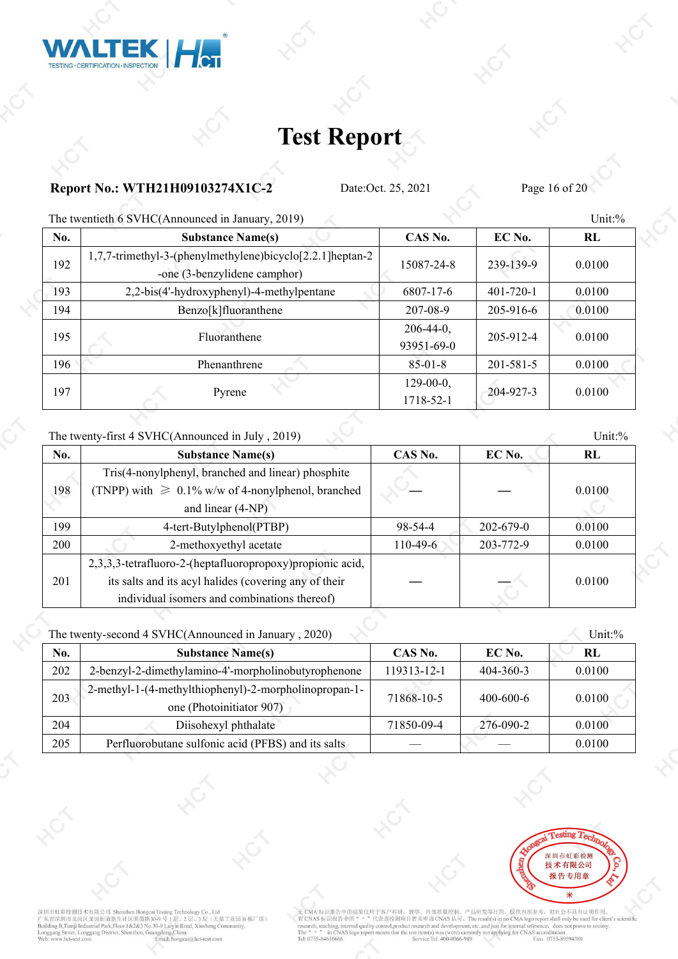![](_page_15_Picture_0.jpeg)

### **Report No.: WTH21H09103274X1C-2** Date:Oct. 25, 2021 Page 16 of 20

The twentieth 6 SVHC(Announced in January, 2019) Unit:%

|     | The enchanged $\sigma$ is a set of the contract of the contract $\sigma$ , $\sigma$ , $\sigma$         |                            |                 | <b>0.</b> 0 |
|-----|--------------------------------------------------------------------------------------------------------|----------------------------|-----------------|-------------|
| No. | <b>Substance Name(s)</b>                                                                               | CAS No.                    | EC No.          | RL          |
| 192 | 1,7,7-trimethyl-3-(phenylmethylene)bicyclo <sup>[2,2,1</sup> ]heptan-2<br>-one (3-benzylidene camphor) | 15087-24-8                 | 239-139-9       | 0.0100      |
| 193 | 2,2-bis(4'-hydroxyphenyl)-4-methylpentane                                                              | 6807-17-6                  | $401 - 720 - 1$ | 0.0100      |
| 194 | Benzo[k]fluoranthene                                                                                   | 207-08-9                   | 205-916-6       | 0.0100      |
| 195 | Fluoranthene                                                                                           | $206-44-0$ ,<br>93951-69-0 | 205-912-4       | 0.0100      |
| 196 | Phenanthrene                                                                                           | $85 - 01 - 8$              | $201 - 581 - 5$ | 0.0100      |
| 197 | Pyrene                                                                                                 | $129-00-0$ ,<br>1718-52-1  | 204-927-3       | 0.0100      |

#### The twenty-first 4 SVHC(Announced in July , 2019) Unit:%

| No. | <b>Substance Name(s)</b>                                  | CAS No.    | EC No.          | RL     |
|-----|-----------------------------------------------------------|------------|-----------------|--------|
|     | Tris(4-nonylphenyl, branched and linear) phosphite        |            |                 |        |
| 198 | (TNPP) with $\geq 0.1\%$ w/w of 4-nonylphenol, branched   |            |                 | 0.0100 |
|     | and linear (4-NP)                                         |            |                 |        |
| 199 | 4-tert-Butylphenol(PTBP)                                  | 98-54-4    | $202 - 679 - 0$ | 0.0100 |
| 200 | 2-methoxyethyl acetate                                    | $110-49-6$ | 203-772-9       | 0.0100 |
|     | 2,3,3,3-tetrafluoro-2-(heptafluoropropoxy)propionic acid, |            |                 |        |
| 201 | its salts and its acyl halides (covering any of their     |            |                 | 0.0100 |
|     | individual isomers and combinations thereof)              |            |                 |        |
|     |                                                           |            |                 |        |

#### The twenty-second 4 SVHC(Announced in January , 2020) Unit:%

| No. | <b>Substance Name(s)</b>                                                          | CAS No.     | EC No.          | RL     |  |
|-----|-----------------------------------------------------------------------------------|-------------|-----------------|--------|--|
| 202 | 2-benzyl-2-dimethylamino-4'-morpholinobutyrophenone                               | 119313-12-1 | $404 - 360 - 3$ | 0.0100 |  |
| 203 | 2-methyl-1-(4-methylthiophenyl)-2-morpholinopropan-1-<br>one (Photoinitiator 907) | 71868-10-5  | $400 - 600 - 6$ | 0.0100 |  |
| 204 | Diisohexyl phthalate                                                              | 71850-09-4  | 276-090-2       | 0.0100 |  |
| 205 | Perfluorobutane sulfonic acid (PFBS) and its salts                                |             |                 | 0.0100 |  |

![](_page_15_Picture_11.jpeg)

深圳市虹彩检测技术有限公司 Shenzhen Hongcai Te #The Mark The Mark The Mark Thought Testar The The Names Technology Co.<br>1. インストール The Mark The Mark The Mark The Mark The Mark The Mark The Industrial Park, Floor 1&2&3 No.30-9 Lilyin Road, Xinshe<br>1. Iding B, Tianji Indu , Co., Ltd<br>3 层 (天基工业园 B 栋厂房) .<br>ai@hct-test.com

的结果仅用于客户科研、教学、内部质量控制、产品研发等目的,仅供内部参考,对社会不具有证明作用。<br>的" - "代表该检测项目智未申请 CNAS 认可。The result(s) in no CMA logo report shall only be used for client's scientific<br>mal quality control,product research and development, etc..and just 无 CMA 标识报告中的结果仅用于客户科研、 有 CNAS 标识报告中的 earch, teaching, inte The "  $\frac{1}{n}$  " in CN/<br>Tel: 0755-84616666 in CNAS le vice Tel: 400-0066-989 Saccionation.<br>Fax: 0755-89594380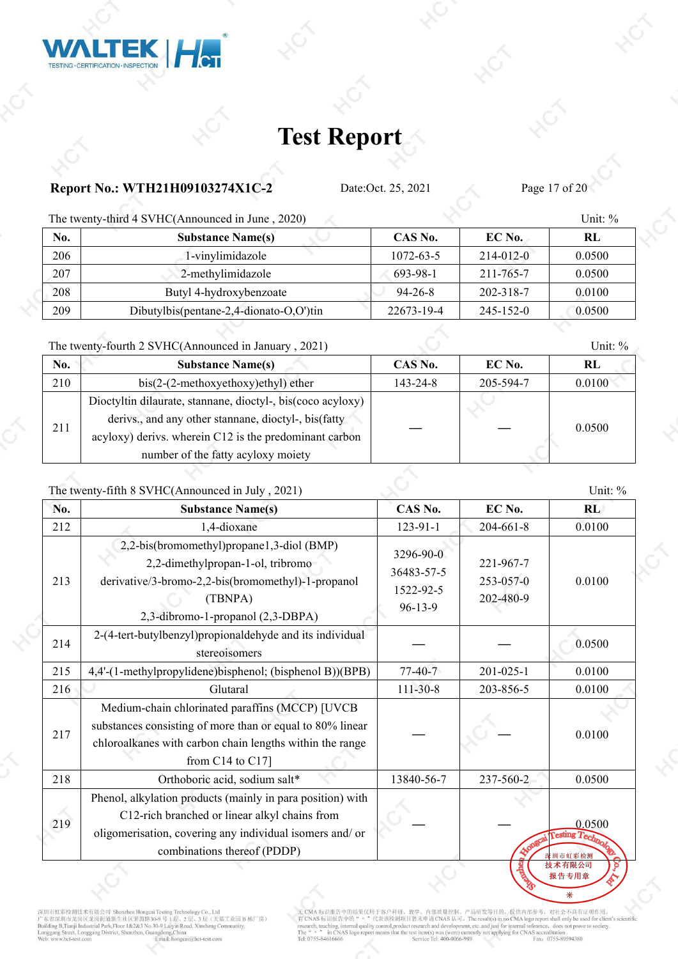### **Report No.: WTH21H09103274X1C-2** Date:Oct. 25, 2021 Page 17 of 20

TEK

TESTING · CERTIFICATION · INSPECTION

The twenty-third 4 SVHC(Announced in June , 2020) Unit: %

 $H_{\rm CT}$ 

| No.  | <b>Substance Name(s)</b>                | CAS No.    | $EC$ No.  | RL     |
|------|-----------------------------------------|------------|-----------|--------|
| 206  | 1-vinylimidazole                        | 1072-63-5  | 214-012-0 | 0.0500 |
| -207 | 2-methylimidazole                       | 693-98-1   | 211-765-7 | 0.0500 |
| 208  | Butyl 4-hydroxybenzoate                 | 94-26-8    | 202-318-7 | 0.0100 |
| 209  | Dibutylbis(pentane-2,4-dionato-O,O')tin | 22673-19-4 | 245-152-0 | 0.0500 |

The twenty-fourth 2 SVHC(Announced in January , 2021) Unit: %

| No. | <b>Substance Name(s)</b>                                                                                                                                                                                             | CAS No.        | EC No.    | RL     |  |
|-----|----------------------------------------------------------------------------------------------------------------------------------------------------------------------------------------------------------------------|----------------|-----------|--------|--|
| 210 | $bis(2-(2-methoxyethoxy)ethyl)$ ether                                                                                                                                                                                | $143 - 24 - 8$ | 205-594-7 | 0.0100 |  |
| 211 | Dioctyltin dilaurate, stannane, dioctyl-, bis(coco acyloxy)<br>derivs., and any other stannane, dioctyl-, bis(fatty)<br>acyloxy) derivs. wherein C12 is the predominant carbon<br>number of the fatty acyloxy moiety |                |           | 0.0500 |  |

#### The twenty-fifth 8 SVHC(Announced in July, 2021) Unit: %

| <b>Substance Name(s)</b>                                                                                                                                                                               | CAS No.                                               | EC No.                              | RL                            |
|--------------------------------------------------------------------------------------------------------------------------------------------------------------------------------------------------------|-------------------------------------------------------|-------------------------------------|-------------------------------|
| 1,4-dioxane                                                                                                                                                                                            | $123-91-1$                                            | $204 - 661 - 8$                     | 0.0100                        |
| 2,2-bis(bromomethyl)propane1,3-diol (BMP)<br>2,2-dimethylpropan-1-ol, tribromo<br>derivative/3-bromo-2,2-bis(bromomethyl)-1-propanol<br>(TBNPA)<br>2,3-dibromo-1-propanol (2,3-DBPA)                   | 3296-90-0<br>36483-57-5<br>1522-92-5<br>$96 - 13 - 9$ | 221-967-7<br>253-057-0<br>202-480-9 | 0.0100                        |
| 2-(4-tert-butylbenzyl) propional dehyde and its individual<br>stereoisomers                                                                                                                            |                                                       |                                     | 0.0500                        |
| 4,4'-(1-methylpropylidene)bisphenol; (bisphenol B))(BPB)                                                                                                                                               | $77-40-7$                                             | $201 - 025 - 1$                     | 0.0100                        |
| Glutaral                                                                                                                                                                                               | $111 - 30 - 8$                                        | 203-856-5                           | 0.0100                        |
| Medium-chain chlorinated paraffins (MCCP) [UVCB<br>substances consisting of more than or equal to 80% linear<br>chloroalkanes with carbon chain lengths within the range<br>from $C14$ to $C17$ ]      |                                                       |                                     | 0.0100                        |
| Orthoboric acid, sodium salt*                                                                                                                                                                          | 13840-56-7                                            | 237-560-2                           | 0.0500                        |
| Phenol, alkylation products (mainly in para position) with<br>C12-rich branched or linear alkyl chains from<br>oligomerisation, covering any individual isomers and/ or<br>combinations thereof (PDDP) |                                                       |                                     | 0.0500<br>esting $T_{\rm eq}$ |
|                                                                                                                                                                                                        |                                                       |                                     |                               |

深圳市虹彩检测技术有限公司 Shenzhen Hongcai Test タルステントのコスティド・R.A. の「StateSchick」<br>おように、「StateSchick」を提案しているのは、「StateSchick」という。<br>
<br>
StateSchick Schick Schick Schick Schick Schick Schick Schick Schick<br>

<br>
StateSchick Schick Schick Schick Schick Schick Schick Schick<br> 3层(天基工业园B栋厂房) Email: h ...<br>cai@hct-test.com

CMA标识报告中的结果仅用于客户科研、教学、内部质量控制、产品研发等目的,仅供内部参考,对社会不具有证明作用。<br>CNAS 标识报告中的 " " "代表该检测项目智未申请 CNAS 认可。The result(s) in no CMA logo report shall only be used for client's scientific<br>search, teaching, internal quality control,produc 无 CMA 标识报告中的结果仅用于客户科研<br>有 CNAS 标识报告中的" 。"代表该检测 The  $\frac{4}{n}$  n  $\frac{1}{n}$  in CNA<br>Tel: 0755-84616666 S accreditation .<br>Fax: 0755-89594380 rvice Tel: 400-0066-989

报告专用章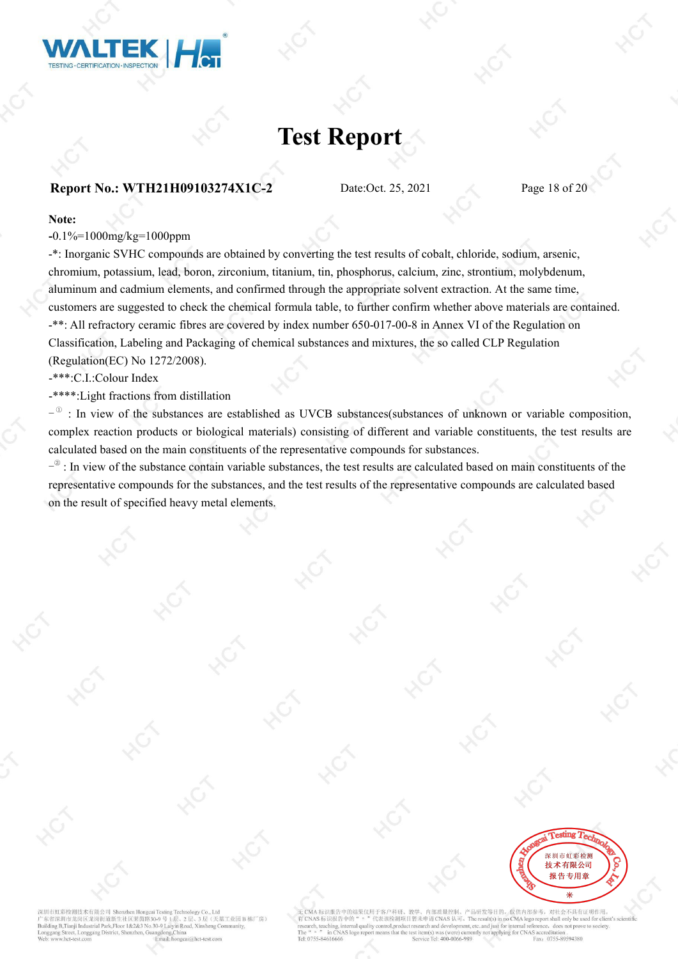![](_page_17_Picture_0.jpeg)

#### **Report No.: WTH21H09103274X1C-2** Date:Oct. 25, 2021 Page 18 of 20

#### **Note:**

**-**0.1%=1000mg/kg=1000ppm

-\*: Inorganic SVHC compounds are obtained by converting the test results of cobalt, chloride, sodium, arsenic, chromium, potassium, lead, boron, zirconium, titanium, tin, phosphorus, calcium, zinc, strontium, molybdenum, aluminum and cadmium elements, and confirmed through the appropriate solvent extraction. At the same time, customers are suggested to check the chemical formula table, to further confirm whether above materials are contained. -\*\*: All refractory ceramic fibres are covered by index number 650-017-00-8 in Annex VI of the Regulation on Classification, Labeling and Packaging of chemical substances and mixtures, the so called CLP Regulation (Regulation(EC) No 1272/2008).

-\*\*\*:C.I.:Colour Index

-\*\*\*\*:Light fractions from distillation

 $-$ <sup> $\circ$ </sup> : In view of the substances are established as UVCB substances(substances of unknown or variable composition, complex reaction products or biological materials) consisting of different and variable constituents, the test results are calculated based on the main constituents of the representative compounds for substances.

 $-$ <sup> $\circ$ </sup>: In view of the substance contain variable substances, the test results are calculated based on main constituents of the representative compounds for the substances, and the test results of the representative compounds are calculated based on the result of specified heavy metal elements.

![](_page_17_Picture_12.jpeg)

市虹彩检测技术有限公司 Shenzhen Hong 去基工业园B栋厂房) 省深圳市龙岗区龙岗街道新生社区莱茵路30-9号 B.Tianii Industrial Park.Floor 1&2&3 No.30-9 Laivin R

品研发等目的, 仅供内部参考, 对社会不具有证明作用 代表该检测项目暂未申请 CNAS 认可。The result(s) in no CMA logo report shall only be used for client's scientific al reference, does not prove to society. arch and develop ent, etc., and just for intern Tal: 0755-8461666 0755-89594380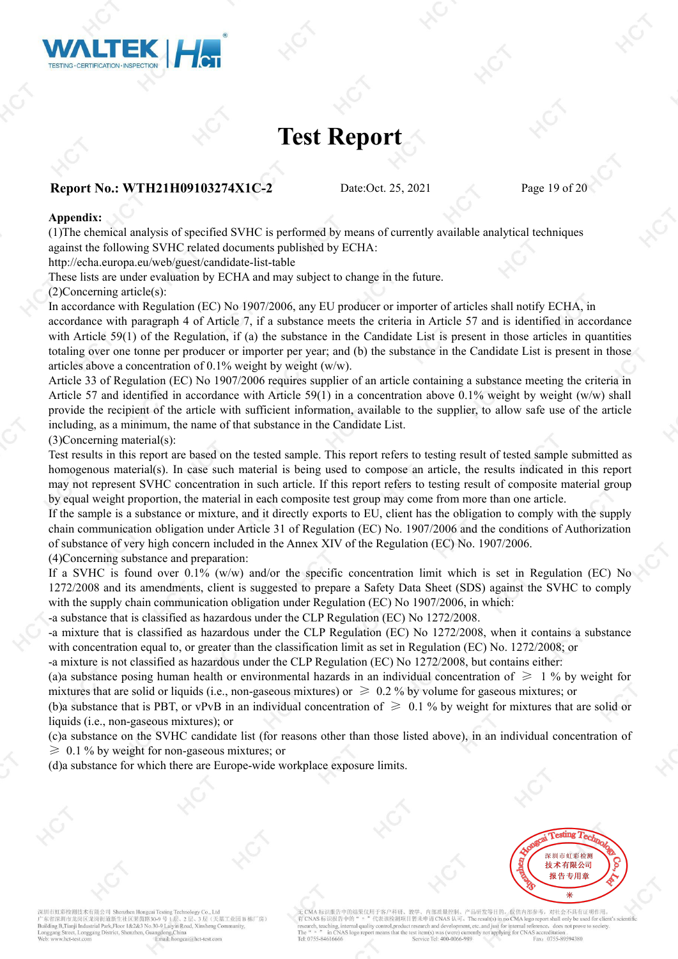![](_page_18_Picture_0.jpeg)

#### **Report No.: WTH21H09103274X1C-2** Date:Oct. 25, 2021 Page 19 of 20

#### **Appendix:**

(1)The chemical analysis ofspecified SVHC is performed by means of currently available analytical techniques against the following SVHC related documents published by ECHA:

http://echa.europa.eu/web/guest/candidate-list-table

These lists are under evaluation by ECHA and may subject to change in the future.

(2)Concerning article(s):

In accordance with Regulation (EC) No 1907/2006, any EU producer or importer of articles shall notify ECHA, in accordance with paragraph 4 of Article 7, if a substance meets the criteria in Article 57 and is identified in accordance with Article 59(1) of the Regulation, if (a) the substance in the Candidate List is present in those articles in quantities totaling over one tonne per producer or importer per year; and (b) the substance in the Candidate List is present in those articles above a concentration of  $0.1\%$  weight by weight (w/w).

Article 33 of Regulation (EC) No 1907/2006 requires supplier of an article containing a substance meeting the criteria in Article 57 and identified in accordance with Article 59(1) in a concentration above 0.1% weight by weight (w/w) shall provide the recipient of the article with sufficient information, available to the supplier, to allow safe use of the article including, as a minimum, the name of that substance in the Candidate List.

#### (3)Concerning material(s):

Test results in this report are based on the tested sample. This report refers to testing result of tested sample submitted as homogenous material(s). In case such material is being used to compose an article, the results indicated in this report may not represent SVHC concentration in such article. If this report refers to testing result of composite material group by equal weight proportion, the material in each composite test group may come from more than one article.

If the sample is a substance or mixture, and it directly exports to EU, client has the obligation to comply with the supply chain communication obligation under Article 31 of Regulation (EC) No. 1907/2006 and the conditions of Authorization of substance of very high concern included in the Annex XIV of the Regulation (EC) No. 1907/2006.

(4)Concerning substance and preparation:

If a SVHC is found over 0.1% (w/w) and/or the specific concentration limit which is set in Regulation (EC) No 1272/2008 and its amendments, client is suggested to prepare a Safety Data Sheet (SDS) against the SVHC to comply with the supply chain communication obligation under Regulation (EC) No 1907/2006, in which:

-a substance that is classified as hazardous under the CLP Regulation (EC) No 1272/2008.

-a mixture that is classified as hazardous under the CLP Regulation (EC) No 1272/2008, when it contains a substance with concentration equal to, or greater than the classification limit as set in Regulation (EC) No. 1272/2008; or

-a mixture is not classified as hazardous under the CLP Regulation (EC) No 1272/2008, but contains either:

(a)a substance posing human health or environmental hazards in an individual concentration of  $\geq 1$  % by weight for mixtures that are solid or liquids (i.e., non-gaseous mixtures) or  $\geq 0.2$  % by volume for gaseous mixtures; or

(b)a substance that is PBT, or vPvB in an individual concentration of  $\geq 0.1$  % by weight for mixtures that are solid or liquids (i.e., non-gaseous mixtures); or

(c)a substance on the SVHC candidate list (for reasons other than those listed above), in an individual concentration of  $\geq 0.1$  % by weight for non-gaseous mixtures; or

(d)a substance for which there are Europe-wide workplace exposure limits.

![](_page_18_Picture_24.jpeg)

深圳市虹彩检测技术有限公司 Shenzhen Hongo 天基工业园B栋厂房) 东省深圳市龙岗区龙岗街道新生社区莱茵路30-9号 B.Tianii Industrial Park.Floor 1&2&3 No.30-9 Laivin Road, X

品研发等目的, 仅供内部参考, 对社会不具有证明作用 代表该检测项目暂未申请 CNAS 认可。The result(s) in no CMA logo report shall only be us 有 CNAS 标识报告中的 does not pr achino oductri earch and develop nt, etc., and just for intern Tel: 0755-8461666  $T_2I_2 400.006$ 0755-89594380